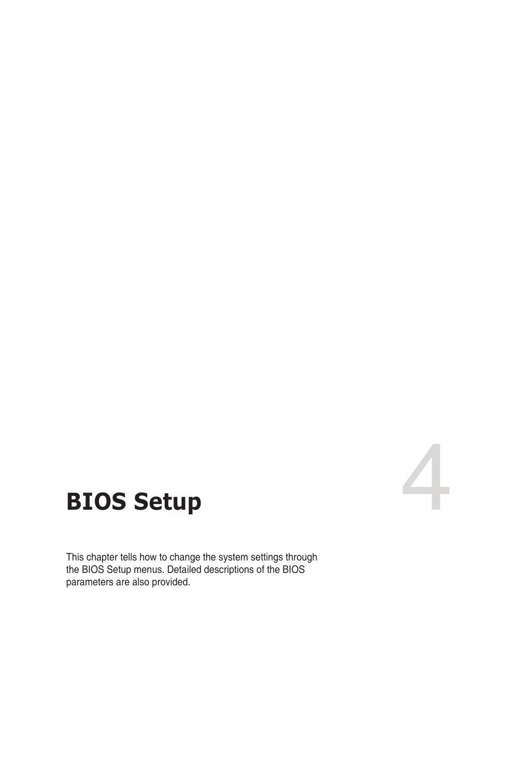# BIOS Setup

This chapter tells how to change the system settings through the BIOS Setup menus. Detailed descriptions of the BIOS parameters are also provided.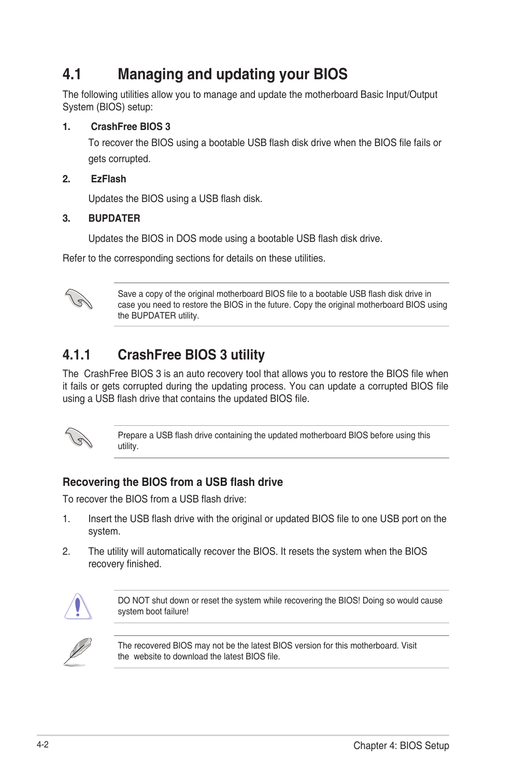# **4.1 Managing and updating your BIOS**

The following utilities allow you to manage and update the motherboard Basic Input/Output System (BIOS) setup:

### 1. **CrashFree BIOS 3**

To recover the BIOS using a bootable USB flash disk drive when the BIOS file fails or gets corrupted.

### 2. **EzFlash**

Updates the BIOS using a USB flash disk.

### 3. **BUPDATER**

Updates the BIOS in DOS mode using a bootable USB flash disk drive.

Refer to the corresponding sections for details on these utilities.



Save a copy of the original motherboard BIOS file to a bootable USB flash disk drive in case you need to restore the BIOS in the future. Copy the original motherboard BIOS using the BUPDATER utility.

# **4.1.1 CrashFree BIOS 3 utility**

The CrashFree BIOS 3 is an auto recovery tool that allows you to restore the BIOS file when it fails or gets corrupted during the updating process. You can update a corrupted BIOS file using a USB flash drive that contains the updated BIOS file.



Prepare a USB flash drive containing the updated motherboard BIOS before using this utility.

### **Recovering the BIOS from a USB flash drive**

To recover the BIOS from a USB flash drive:

- 1. Insert the USB flash drive with the original or updated BIOS file to one USB port on the system.
- 2. The utility will automatically recover the BIOS. It resets the system when the BIOS recovery finished.



DO NOT shut down or reset the system while recovering the BIOS! Doing so would cause system boot failure!



The recovered BIOS may not be the latest BIOS version for this motherboard. Visit the website to download the latest BIOS file.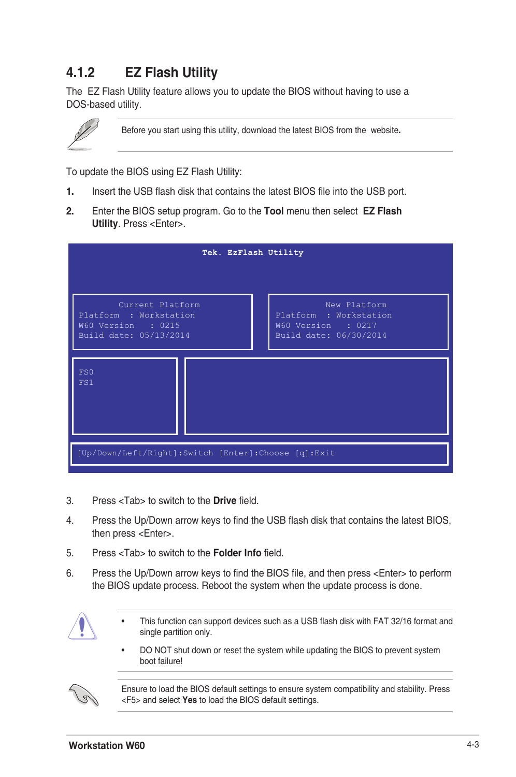# **4.1.2 EZ Flash Utility**

The EZ Flash Utility feature allows you to update the BIOS without having to use a DOS-based utility.



Before you start using this utility, download the latest BIOS from the website.

To update the BIOS using EZ Flash Utility:

- 1. Insert the USB flash disk that contains the latest BIOS file into the USB port.
- 2. Enter the BIOS setup program. Go to the **Tool** menu then select **EZ Flash Utility.** Press <Enter>.

| Tek. EzFlash Utility                                                                                                                                                                 |  |  |  |  |
|--------------------------------------------------------------------------------------------------------------------------------------------------------------------------------------|--|--|--|--|
| New Platform<br>Current Platform<br>Platform : Workstation<br>Platform : Workstation<br>W60 Version : 0215<br>W60 Version : 0217<br>Build date: 05/13/2014<br>Build date: 06/30/2014 |  |  |  |  |
| FS0<br>FS1                                                                                                                                                                           |  |  |  |  |
| [Up/Down/Left/Right]:Switch [Enter]:Choose [q]:Exit                                                                                                                                  |  |  |  |  |

- 3. Press <Tab> to switch to the **Drive** field.
- 4. Press the Up/Down arrow keys to find the USB flash disk that contains the latest BIOS, then press <Enter>.
- 5. Press <Tab> to switch to the **Folder Info** field.
- 6. Press the Up/Down arrow keys to find the BIOS file, and then press <Enter> to perform the BIOS update process. Reboot the system when the update process is done.



- This function can support devices such as a USB flash disk with FAT 32/16 format and single partition only.
- DO NOT shut down or reset the system while updating the BIOS to prevent system boot failure!



Ensure to load the BIOS default settings to ensure system compatibility and stability. Press <F5> and select **Yes** to load the BIOS default settings.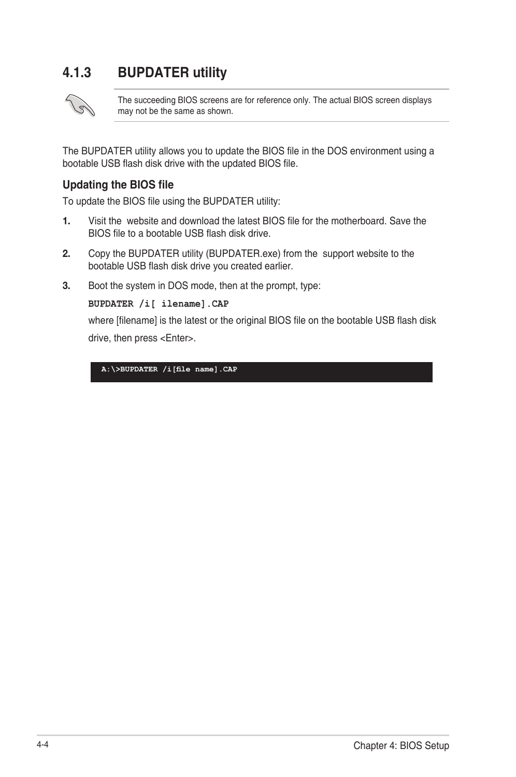# **4.1.3 BUPDATER utility**



The succeeding BIOS screens are for reference only. The actual BIOS screen displays may not be the same as shown.

The BUPDATER utility allows you to update the BIOS file in the DOS environment using a bootable USB flash disk drive with the updated BIOS file.

### **Updating the BIOS file**

To update the BIOS file using the BUPDATER utility:

- 1. Visit the website and download the latest BIOS file for the motherboard. Save the BIOS file to a bootable USB flash disk drive.
- 2. Copy the BUPDATER utility (BUPDATER.exe) from the support website to the bootable USB flash disk drive you created earlier.
- 3. Boot the system in DOS mode, then at the prompt, type:

**BUPDATER /i[ ilename].CAP**

where [filename] is the latest or the original BIOS file on the bootable USB flash disk drive, then press <Enter>.

**A:\>BUPDATER /i[file name].CAP**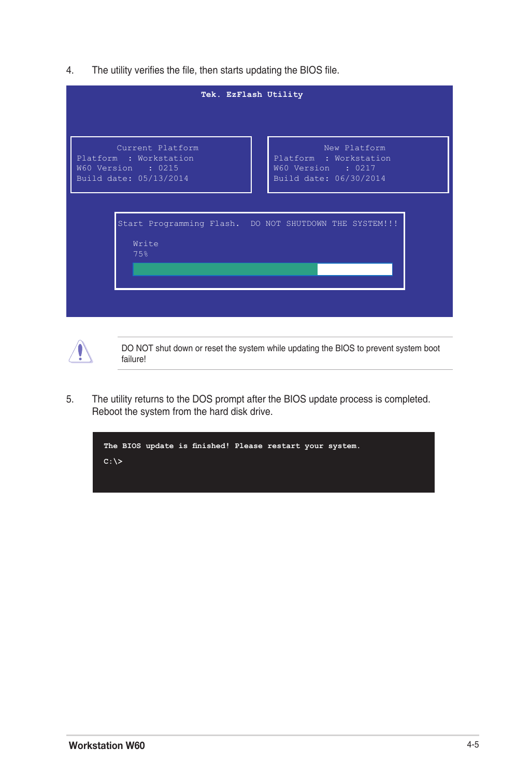4. The utility verifies the file, then starts updating the BIOS file.

| Tek. EzFlash Utility |                                                                                                                                                                                      |  |  |  |  |
|----------------------|--------------------------------------------------------------------------------------------------------------------------------------------------------------------------------------|--|--|--|--|
|                      | Current Platform<br>New Platform<br>Platform : Workstation<br>Platform : Workstation<br>W60 Version : 0215<br>W60 Version : 0217<br>Build date: 05/13/2014<br>Build date: 06/30/2014 |  |  |  |  |
|                      | Start Programming Flash. DO NOT SHUTDOWN THE SYSTEM!!!                                                                                                                               |  |  |  |  |
|                      | Write<br>75%                                                                                                                                                                         |  |  |  |  |
|                      |                                                                                                                                                                                      |  |  |  |  |



DO NOT shut down or reset the system while updating the BIOS to prevent system boot failure!

5. The utility returns to the DOS prompt after the BIOS update process is completed. Reboot the system from the hard disk drive.

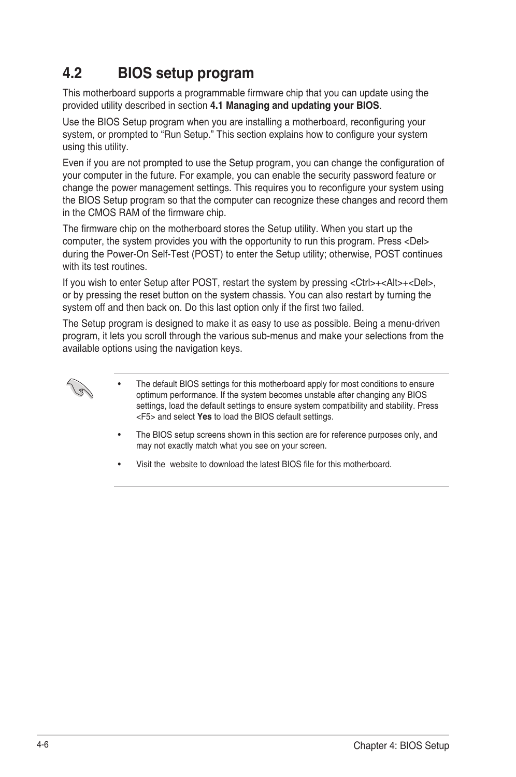# **4.2 BIOS setup program**

This motherboard supports a programmable firmware chip that you can update using the provided utility described in section **4.1 Managing and updating your BIOS**.

Use the BIOS Setup program when you are installing a motherboard, reconfiguring your system, or prompted to "Run Setup." This section explains how to configure your system using this utility.

Even if you are not prompted to use the Setup program, you can change the configuration of your computer in the future. For example, you can enable the security password feature or change the power management settings. This requires you to reconfigure your system using the BIOS Setup program so that the computer can recognize these changes and record them in the CMOS RAM of the firmware chip.

The firmware chip on the motherboard stores the Setup utility. When you start up the computer, the system provides you with the opportunity to run this program. Press <Del> during the Power-On Self-Test (POST) to enter the Setup utility; otherwise, POST continues with its test routines.

If you wish to enter Setup after POST, restart the system by pressing <Ctrl>+<Alt>+<Del>, or by pressing the reset button on the system chassis. You can also restart by turning the system off and then back on. Do this last option only if the first two failed.

The Setup program is designed to make it as easy to use as possible. Being a menu-driven program, it lets you scroll through the various sub-menus and make your selections from the available options using the navigation keys.



- The default BIOS settings for this motherboard apply for most conditions to ensure optimum performance. If the system becomes unstable after changing any BIOS settings, load the default settings to ensure system compatibility and stability. Press <F5> and select **Yes** to load the BIOS default settings.
- The BIOS setup screens shown in this section are for reference purposes only, and may not exactly match what you see on your screen.
- Visit the website to download the latest BIOS file for this motherboard.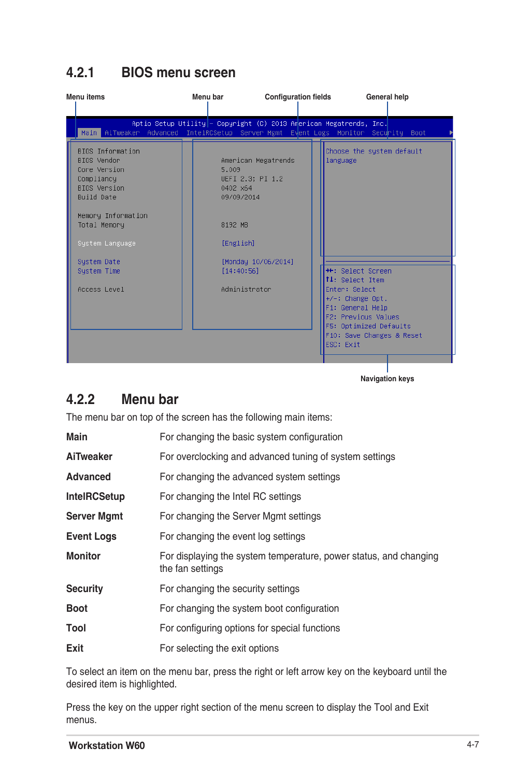# **4.2.1 BIOS menu screen**

| <b>Menu</b> items                                                                                                                                                  | Menu bar                                                           | <b>Configuration fields</b>             |                                                                                                                       | General help              |
|--------------------------------------------------------------------------------------------------------------------------------------------------------------------|--------------------------------------------------------------------|-----------------------------------------|-----------------------------------------------------------------------------------------------------------------------|---------------------------|
| Main AiTweaker Advanced IntelRCSetup Server Mgmt Event Logs Monitor Security Boot                                                                                  | Aptio Setup Utility - Copyright (C) 2013 American Megatrends, Inc. |                                         |                                                                                                                       |                           |
| BIOS Information<br>BIOS Vendor<br>Core Version<br>Compliancy<br><b>BIOS Version</b><br><b>Build Date</b><br>Memory Information<br>Total Memory<br>Sustem Language | 5.009<br>0402 x64<br>09/09/2014<br>8192 MB<br>[English]            | American Megatrends<br>UEFI 2.3; PI 1.2 | language                                                                                                              | Choose the system default |
| System Date                                                                                                                                                        |                                                                    | [Monday 10/06/2014]                     |                                                                                                                       |                           |
| System Time                                                                                                                                                        | [14:40:56]                                                         |                                         | <b>**: Select Screen</b><br>↑↓: Select Ttem                                                                           |                           |
| Access Level                                                                                                                                                       | Administrator                                                      |                                         | Enter: Select<br>$+/-:$ Change Opt.<br>F1: General Help<br>F2: Previous Values<br>F5: Optimized Defaults<br>ESC: Exit | F10: Save Changes & Reset |
|                                                                                                                                                                    |                                                                    |                                         |                                                                                                                       |                           |

**Navigation keys**

# **4.2.2 Menu bar**

The menu bar on top of the screen has the following main items:

| Main                | For changing the basic system configuration                                           |
|---------------------|---------------------------------------------------------------------------------------|
| AiTweaker           | For overclocking and advanced tuning of system settings                               |
| Advanced            | For changing the advanced system settings                                             |
| <b>IntelRCSetup</b> | For changing the Intel RC settings                                                    |
| <b>Server Mgmt</b>  | For changing the Server Mgmt settings                                                 |
| <b>Event Logs</b>   | For changing the event log settings                                                   |
| <b>Monitor</b>      | For displaying the system temperature, power status, and changing<br>the fan settings |
| <b>Security</b>     | For changing the security settings                                                    |
| <b>Boot</b>         | For changing the system boot configuration                                            |
| Tool                | For configuring options for special functions                                         |
| Exit                | For selecting the exit options                                                        |

To select an item on the menu bar, press the right or left arrow key on the keyboard until the desired item is highlighted.

Press the key on the upper right section of the menu screen to display the Tool and Exit menus.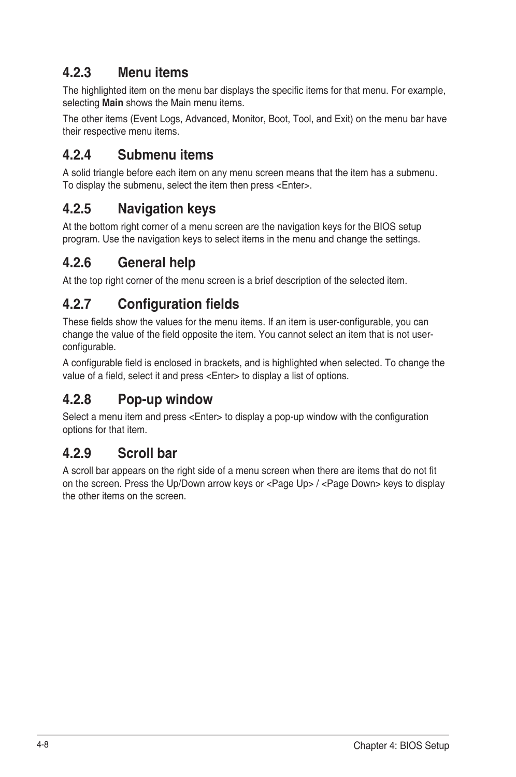# **4.2.3 Menu items**

The highlighted item on the menu bar displays the specific items for that menu. For example, selecting **Main** shows the Main menu items.

The other items (Event Logs, Advanced, Monitor, Boot, Tool, and Exit) on the menu bar have their respective menu items.

# **4.2.4 Submenu items**

A solid triangle before each item on any menu screen means that the item has a submenu. To display the submenu, select the item then press <Enter>.

# **4.2.5 Navigation keys**

At the bottom right corner of a menu screen are the navigation keys for the BIOS setup program. Use the navigation keys to select items in the menu and change the settings.

# **4.2.6 General help**

At the top right corner of the menu screen is a brief description of the selected item.

# **4.2.7 Configuration fields**

These fields show the values for the menu items. If an item is user-configurable, you can change the value of the field opposite the item. You cannot select an item that is not userconfigurable.

A configurable field is enclosed in brackets, and is highlighted when selected. To change the value of a field, select it and press <Enter> to display a list of options.

# **4.2.8 Pop-up window**

Select a menu item and press <Enter> to display a pop-up window with the configuration options for that item.

# **4.2.9 Scroll bar**

A scroll bar appears on the right side of a menu screen when there are items that do not fit on the screen. Press the Up/Down arrow keys or <Page Up> / <Page Down> keys to display the other items on the screen.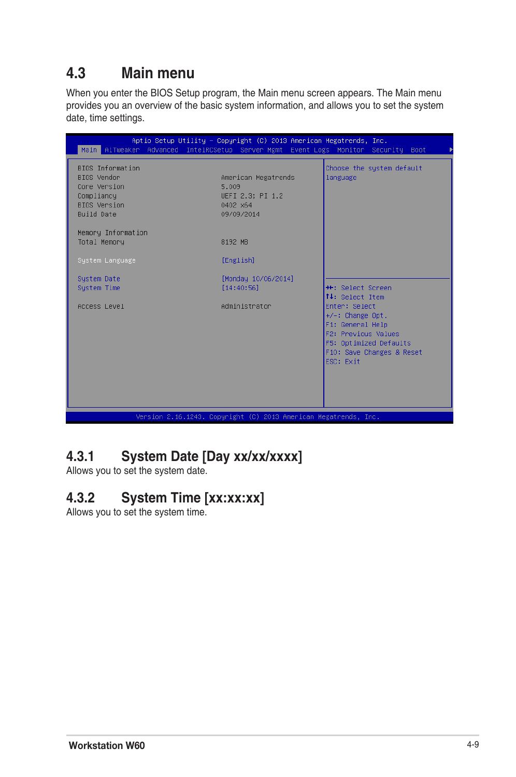# **4.3 Main menu**

When you enter the BIOS Setup program, the Main menu screen appears. The Main menu provides you an overview of the basic system information, and allows you to set the system date, time settings.

|                                                                                                           | Aptio Setup Utility – Copyright (C) 2013 American Megatrends, Inc.<br>Main AiTweaker Advanced IntelRCSetup Server Mgmt Event Logs Monitor Security Boot |                                                                                                                                                                       |
|-----------------------------------------------------------------------------------------------------------|---------------------------------------------------------------------------------------------------------------------------------------------------------|-----------------------------------------------------------------------------------------------------------------------------------------------------------------------|
| BIOS Information<br>BIOS Vendor<br>Core Version<br>Compliancy<br><b>BIOS Version</b><br><b>Build Date</b> | American Megatrends<br>5.009<br>UEFI 2.3; PI 1.2<br>0402 x64<br>09/09/2014                                                                              | Choose the system default<br>language                                                                                                                                 |
| Memory Information                                                                                        |                                                                                                                                                         |                                                                                                                                                                       |
| Total Memory                                                                                              | 8192 MB                                                                                                                                                 |                                                                                                                                                                       |
| System Language                                                                                           | [English]                                                                                                                                               |                                                                                                                                                                       |
| System Date                                                                                               | [Monday 10/06/2014]                                                                                                                                     |                                                                                                                                                                       |
| System Time                                                                                               | [14:40:56]                                                                                                                                              | <b>++:</b> Select Screen                                                                                                                                              |
| Access Level                                                                                              | Administrator                                                                                                                                           | 14: Select Item<br>Enter: Select<br>$+/-:$ Change Opt.<br>F1: General Help<br>F2: Previous Values<br>F5: Optimized Defaults<br>F10: Save Changes & Reset<br>ESC: Exit |
|                                                                                                           | Version 2.16.1243. Copyright (C) 2013 American Megatrends, Inc.                                                                                         |                                                                                                                                                                       |

# **4.3.1 System Date [Day xx/xx/xxxx]**

Allows you to set the system date.

# **4.3.2 System Time [xx:xx:xx]**

Allows you to set the system time.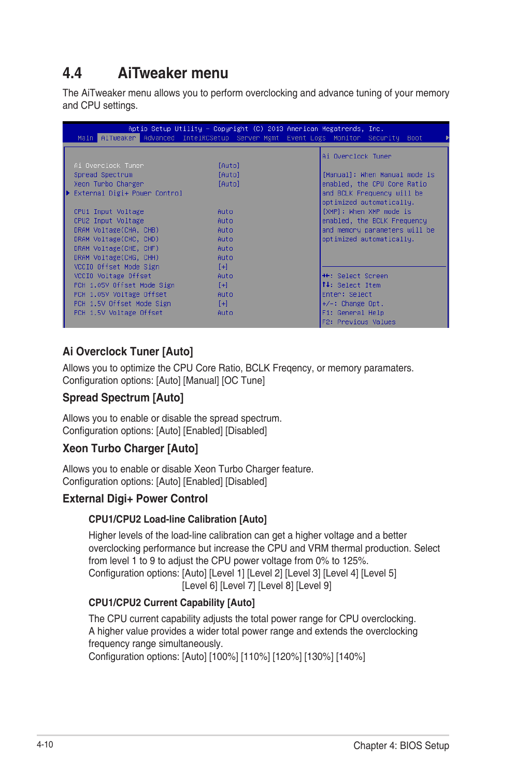# **4.4 AiTweaker menu**

The AiTweaker menu allows you to perform overclocking and advance tuning of your memory and CPU settings.

|                                |        | Aptio Setup Utility – Copyright (C) 2013 American Megatrends, Inc.                |
|--------------------------------|--------|-----------------------------------------------------------------------------------|
|                                |        | Main AiTweaker Advanced IntelRCSetup Server Mgmt Event Logs Monitor Security Boot |
|                                |        | Ai Overclock Tuner                                                                |
| Ai Overclock Tuner             | [Auto] |                                                                                   |
| Spread Spectrum                | [Auto] | [Manual]: When Manual mode is                                                     |
| Xeon Turbo Charger             | [Auto] | enabled, the CPU Core Ratio                                                       |
| ▶ External Digi+ Power Control |        | and BCLK Frequency will be                                                        |
|                                |        | optimized automatically.                                                          |
| CPU1 Input Voltage             | Auto   | [XMP]: When XMP mode is                                                           |
| CPU2 Input Voltage             | Auto   | enabled, the BCLK Frequency                                                       |
| DRAM Voltage(CHA, CHB)         | Auto   | and memory parameters will be                                                     |
| DRAM Voltage(CHC, CHD)         | Auto   | optimized automatically.                                                          |
| DRAM Voltage(CHE, CHF)         | Auto   |                                                                                   |
| DRAM Voltage (CHG, CHH)        | Auto   |                                                                                   |
| VCCIO Offset Mode Sign         | $[+]$  |                                                                                   |
| VCCIO Voltage Offset           | Auto   | <b>++:</b> Select Screen                                                          |
| PCH 1.05V Offset Mode Sign     | $[+]$  | 14: Select Item                                                                   |
| PCH 1.05V Voltage Offset       | Auto   | Enter: Select                                                                     |
| PCH 1.5V Offset Mode Sign      | $[+]$  | $+/-:$ Change Opt.                                                                |
| PCH 1.5V Voltage Offset        | Auto   | F1: General Help                                                                  |
|                                |        | F2: Previous Values                                                               |

### **Ai Overclock Tuner [Auto]**

Allows you to optimize the CPU Core Ratio, BCLK Freqency, or memory paramaters. Configuration options: [Auto] [Manual] [OC Tune]

### **Spread Spectrum [Auto]**

Allows you to enable or disable the spread spectrum. Configuration options: [Auto] [Enabled] [Disabled]

### **Xeon Turbo Charger [Auto]**

Allows you to enable or disable Xeon Turbo Charger feature. Configuration options: [Auto] [Enabled] [Disabled]

### **External Digi+ Power Control**

### **CPU1/CPU2 Load-line Calibration [Auto]**

Higher levels of the load-line calibration can get a higher voltage and a better overclocking performance but increase the CPU and VRM thermal production. Select from level 1 to 9 to adjust the CPU power voltage from 0% to 125%. Configuration options: [Auto] [Level 1] [Level 2] [Level 3] [Level 4] [Level 5] [Level 6] [Level 7] [Level 8] [Level 9]

### **CPU1/CPU2 Current Capability [Auto]**

The CPU current capability adjusts the total power range for CPU overclocking. A higher value provides a wider total power range and extends the overclocking frequency range simultaneously.

Configuration options: [Auto] [100%] [110%] [120%] [130%] [140%]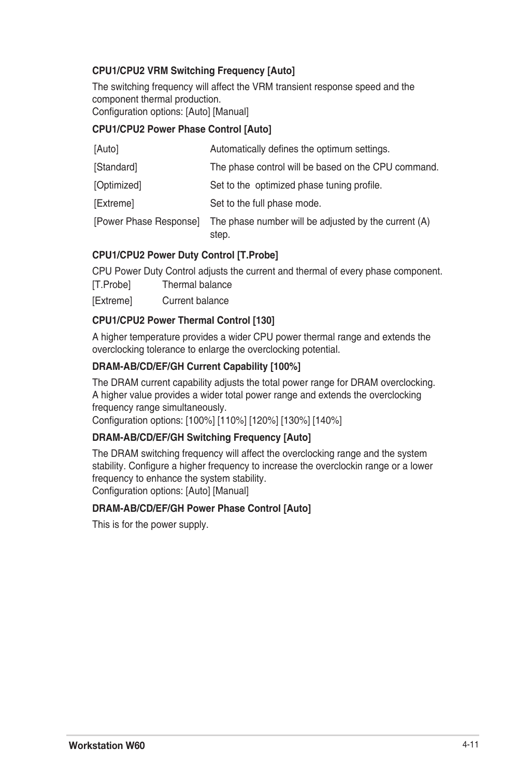### **CPU1/CPU2 VRM Switching Frequency [Auto]**

The switching frequency will affect the VRM transient response speed and the component thermal production.

Configuration options: [Auto] [Manual]

### **CPU1/CPU2 Power Phase Control [Auto]**

| [Auto]                 | Automatically defines the optimum settings.                   |
|------------------------|---------------------------------------------------------------|
| [Standard]             | The phase control will be based on the CPU command.           |
| [Optimized]            | Set to the optimized phase tuning profile.                    |
| [Extreme]              | Set to the full phase mode.                                   |
| [Power Phase Response] | The phase number will be adjusted by the current (A)<br>step. |

### **CPU1/CPU2 Power Duty Control [T.Probe]**

CPU Power Duty Control adjusts the current and thermal of every phase component. [T.Probe] Thermal balance

[Extreme] Current balance

### **CPU1/CPU2 Power Thermal Control [130]**

A higher temperature provides a wider CPU power thermal range and extends the overclocking tolerance to enlarge the overclocking potential.

### **DRAM-AB/CD/EF/GH Current Capability [100%]**

The DRAM current capability adjusts the total power range for DRAM overclocking. A higher value provides a wider total power range and extends the overclocking frequency range simultaneously.

Configuration options: [100%] [110%] [120%] [130%] [140%]

### **DRAM-AB/CD/EF/GH Switching Frequency [Auto]**

The DRAM switching frequency will affect the overclocking range and the system stability. Configure a higher frequency to increase the overclockin range or a lower frequency to enhance the system stability. Configuration options: [Auto] [Manual]

### **DRAM-AB/CD/EF/GH Power Phase Control [Auto]**

This is for the power supply.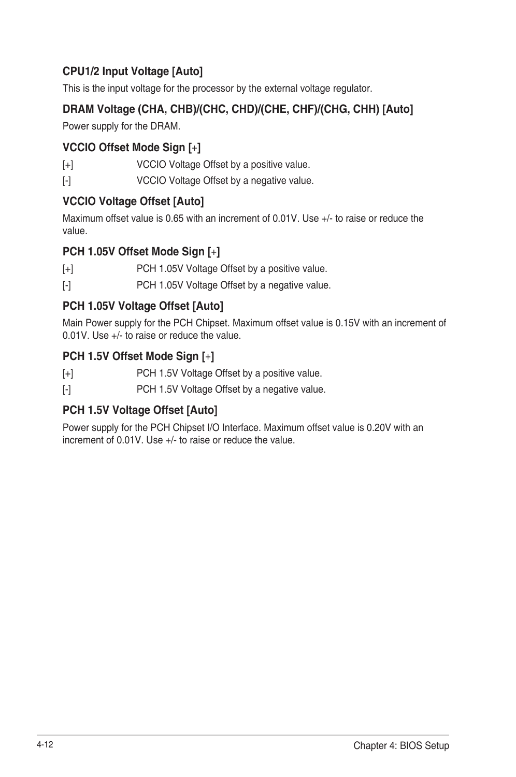### **CPU1/2 Input Voltage [Auto]**

This is the input voltage for the processor by the external voltage regulator.

### **DRAM Voltage (CHA, CHB)/(CHC, CHD)/(CHE, CHF)/(CHG, CHH) [Auto]**

Power supply for the DRAM.

### **VCCIO Offset Mode Sign [**+**]**

- [+] VCCIO Voltage Offset by a positive value.
- [-] VCCIO Voltage Offset by a negative value.

### **VCCIO Voltage Offset [Auto]**

Maximum offset value is 0.65 with an increment of 0.01V. Use +/- to raise or reduce the value.

### **PCH 1.05V Offset Mode Sign [**+**]**

- [+] PCH 1.05V Voltage Offset by a positive value.
- [-] PCH 1.05V Voltage Offset by a negative value.

### **PCH 1.05V Voltage Offset [Auto]**

Main Power supply for the PCH Chipset. Maximum offset value is 0.15V with an increment of 0.01V. Use +/- to raise or reduce the value.

### **PCH 1.5V Offset Mode Sign [**+**]**

- [+] PCH 1.5V Voltage Offset by a positive value.
- [-] PCH 1.5V Voltage Offset by a negative value.

### **PCH 1.5V Voltage Offset [Auto]**

Power supply for the PCH Chipset I/O Interface. Maximum offset value is 0.20V with an increment of 0.01V. Use +/- to raise or reduce the value.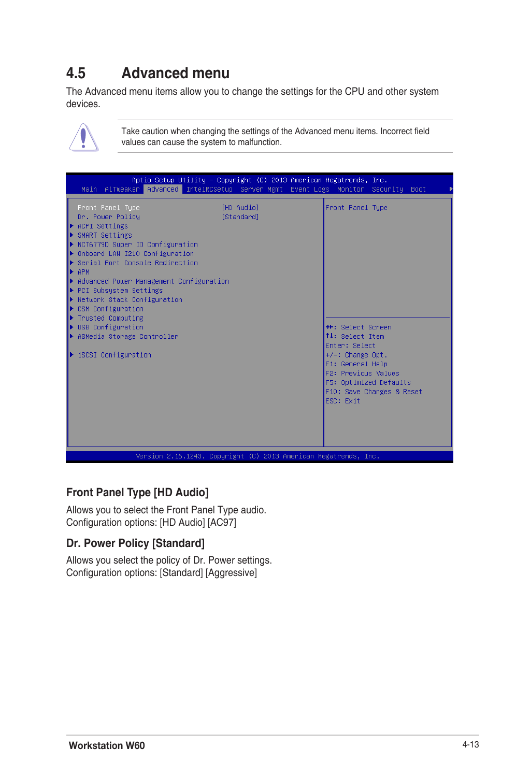# **4.5 Advanced menu**

The Advanced menu items allow you to change the settings for the CPU and other system devices.



Take caution when changing the settings of the Advanced menu items. Incorrect field values can cause the system to malfunction.

| <b>FHD Audiol</b><br>Front Panel Type<br>Front Panel Type<br><b>[Standard]</b><br>Dr. Power Policy<br>ACPI Settings<br>$\blacktriangleright$ SMART Settings<br>▶ NCT6779D Super IO Configuration<br>▶ Onboard LAN I210 Configuration<br>▶ Serial Port Console Redirection<br><b>E</b> APM<br>▶ Advanced Power Management Configuration<br>PCI Subsystem Settings<br>▶ Network Stack Configuration<br>D► CSM Configuration<br>$\blacktriangleright$ Trusted Computing<br>$\blacktriangleright$ USB Configuration<br><b>++:</b> Select Screen<br>▶ ASMedia Storage Controller<br>↑↓: Select Item<br>Enter: Select<br>$\blacktriangleright$ iSCSI Configuration<br>$+/-:$ Change Opt.<br>F1: General Help<br><b>F2: Previous Values</b><br>F5: Optimized Defaults<br>F10: Save Changes & Reset<br>ESC: Exit | Aptio Setup Utility – Copyright (C) 2013 American Megatrends, Inc. | Main AiTweaker Advanced IntelRCSetup Server Mgmt Event Logs Monitor Security Boot |
|----------------------------------------------------------------------------------------------------------------------------------------------------------------------------------------------------------------------------------------------------------------------------------------------------------------------------------------------------------------------------------------------------------------------------------------------------------------------------------------------------------------------------------------------------------------------------------------------------------------------------------------------------------------------------------------------------------------------------------------------------------------------------------------------------------|--------------------------------------------------------------------|-----------------------------------------------------------------------------------|
|                                                                                                                                                                                                                                                                                                                                                                                                                                                                                                                                                                                                                                                                                                                                                                                                          |                                                                    |                                                                                   |
| Version 2.16.1243. Copyright (C) 2013 American Megatrends, Inc.                                                                                                                                                                                                                                                                                                                                                                                                                                                                                                                                                                                                                                                                                                                                          |                                                                    |                                                                                   |

### **Front Panel Type [HD Audio]**

Allows you to select the Front Panel Type audio. Configuration options: [HD Audio] [AC97]

### **Dr. Power Policy [Standard]**

Allows you select the policy of Dr. Power settings. Configuration options: [Standard] [Aggressive]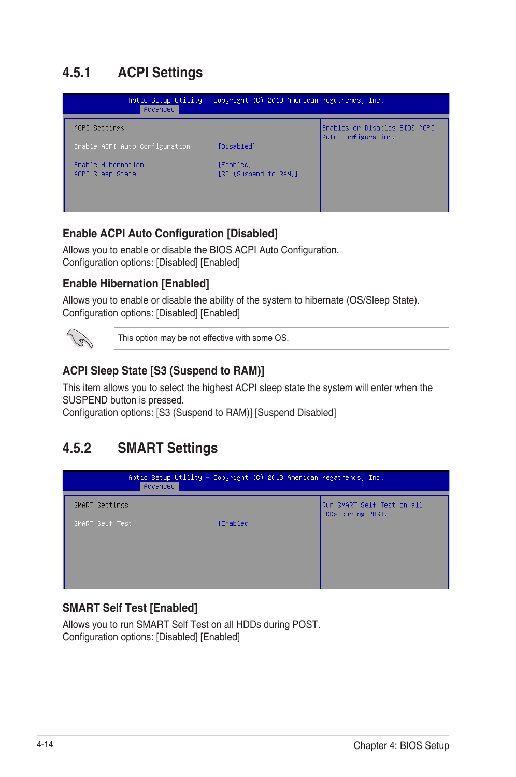# **4.5.1 ACPI Settings**

| Advanced                                      | Aptio Setup Utility – Copyright (C) 2013 American Megatrends, Inc. |                                                      |
|-----------------------------------------------|--------------------------------------------------------------------|------------------------------------------------------|
| ACPI Settings                                 |                                                                    | Enables or Disables BIOS ACPI<br>Auto Configuration. |
| Enable ACPI Auto Configuration                | [Disabled]                                                         |                                                      |
| <b>Fnable Hibernation</b><br>ACPI Sleep State | [Enabled]<br>[S3 (Suspend to RAM)]                                 |                                                      |

### **Enable ACPI Auto Configuration [Disabled]**

Allows you to enable or disable the BIOS ACPI Auto Configuration. Configuration options: [Disabled] [Enabled]

### **Enable Hibernation [Enabled]**

Allows you to enable or disable the ability of the system to hibernate (OS/Sleep State). Configuration options: [Disabled] [Enabled]



This option may be not effective with some OS.

### **ACPI Sleep State [S3 (Suspend to RAM)]**

This item allows you to select the highest ACPI sleep state the system will enter when the SUSPEND button is pressed.

Configuration options: [S3 (Suspend to RAM)] [Suspend Disabled]

# **4.5.2 SMART Settings**

| Aptio Setup Utility – Copyright (C) 2013 American Megatrends, Inc.<br>Advanced |           |  |                            |  |
|--------------------------------------------------------------------------------|-----------|--|----------------------------|--|
| SMART Settings                                                                 |           |  | Run SMART Self Test on all |  |
| SMART Self Test                                                                | [Enabled] |  | HDDs during POST.          |  |
|                                                                                |           |  |                            |  |
|                                                                                |           |  |                            |  |
|                                                                                |           |  |                            |  |

### **SMART Self Test [Enabled]**

Allows you to run SMART Self Test on all HDDs during POST. Configuration options: [Disabled] [Enabled]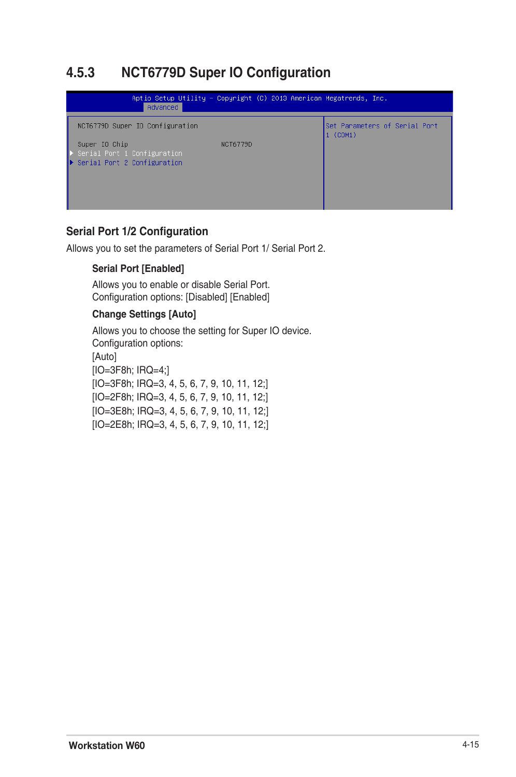# **4.5.3 NCT6779D Super IO Configuration**



### **Serial Port 1/2 Configuration**

Allows you to set the parameters of Serial Port 1/ Serial Port 2.

### **Serial Port [Enabled]**

Allows you to enable or disable Serial Port. Configuration options: [Disabled] [Enabled]

### **Change Settings [Auto]**

Allows you to choose the setting for Super IO device. Configuration options: [Auto] [IO=3F8h; IRQ=4;] [IO=3F8h; IRQ=3, 4, 5, 6, 7, 9, 10, 11, 12;] [IO=2F8h; IRQ=3, 4, 5, 6, 7, 9, 10, 11, 12;] [IO=3E8h; IRQ=3, 4, 5, 6, 7, 9, 10, 11, 12;] [IO=2E8h; IRQ=3, 4, 5, 6, 7, 9, 10, 11, 12;]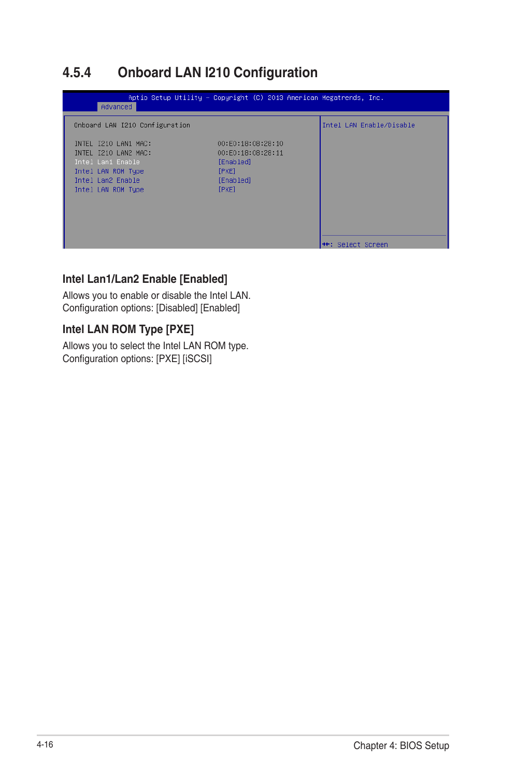# **4.5.4 Onboard LAN I210 Configuration**

| Advanced                                                                                                                           | Aptio Setup Utility – Copyright (C) 2013 American Megatrends, Inc.                        |                          |
|------------------------------------------------------------------------------------------------------------------------------------|-------------------------------------------------------------------------------------------|--------------------------|
| Onboard LAN I210 Configuration                                                                                                     |                                                                                           | Intel LAN Enable/Disable |
| INTEL I210 LAN1 MAC:<br>INTEL I210 LAN2 MAC:<br>Intel Lan1 Enable<br>Intel LAN ROM Type<br>Intel Lan2 Enable<br>Intel LAN ROM Type | 00:F0:18:08:28:10<br>00:F0:18:08:28:11<br><b>[Enabled]</b><br>[PXE]<br>[Enabled]<br>[PXE] | →←: Select Screen        |

### **Intel Lan1/Lan2 Enable [Enabled]**

Allows you to enable or disable the Intel LAN. Configuration options: [Disabled] [Enabled]

### **Intel LAN ROM Type [PXE]**

Allows you to select the Intel LAN ROM type. Configuration options: [PXE] [iSCSI]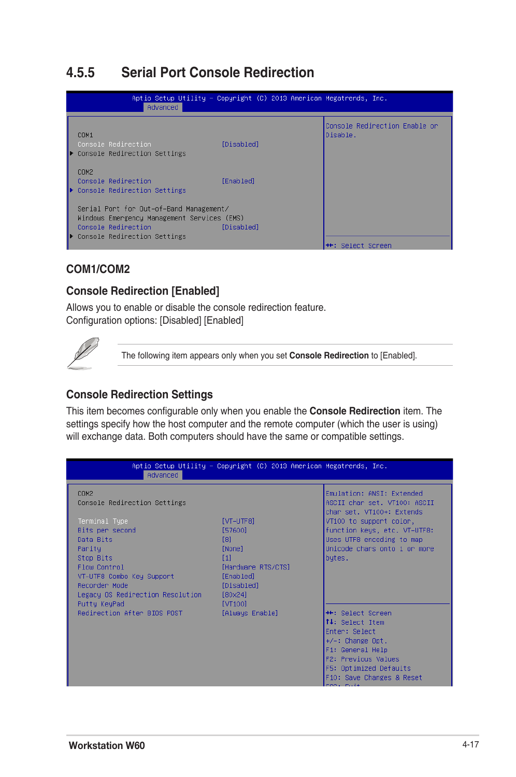# **4.5.5 Serial Port Console Redirection**

|                                                | Advanced                                                                                                               | Aptio Setup Utility – Copyright (C) 2013 American Megatrends, Inc. |                                           |
|------------------------------------------------|------------------------------------------------------------------------------------------------------------------------|--------------------------------------------------------------------|-------------------------------------------|
| COM1<br>Console Redirection<br><b>IE</b>       | Console Redirection Settings                                                                                           | [Disabled]                                                         | Console Redirection Enable or<br>Disable. |
| COM <sub>2</sub><br>Console Redirection<br>IE. | Console Redirection Settings                                                                                           | [Enabled]                                                          |                                           |
| Console Redirection                            | Serial Port for Out-of-Band Management/<br>Windows Emergency Management Services (EMS)<br>Console Redirection Settings | <b>[Disabled]</b>                                                  | ↔ Select Screen                           |

### **COM1/COM2**

### **Console Redirection [Enabled]**

Allows you to enable or disable the console redirection feature. Configuration options: [Disabled] [Enabled]



The following item appears only when you set **Console Redirection** to [Enabled].

### **Console Redirection Settings**

This item becomes configurable only when you enable the **Console Redirection** item. The settings specify how the host computer and the remote computer (which the user is using) will exchange data. Both computers should have the same or compatible settings.

| Advanced                                                                                                                                                                               | Aptio Setup Utility – Copyright (C) 2013 American Megatrends, Inc.                              |                                                                                                                                                                                                                          |
|----------------------------------------------------------------------------------------------------------------------------------------------------------------------------------------|-------------------------------------------------------------------------------------------------|--------------------------------------------------------------------------------------------------------------------------------------------------------------------------------------------------------------------------|
| COM <sub>2</sub><br>Console Redirection Settings<br>Terminal Type<br>Bits per second<br>Data Rits<br>Parity<br>Stop Bits<br>Flow Control<br>VT-UTF8 Combo Key Support<br>Recorder Mode | $[VT-UTF8]$<br>[57600]<br>[8]<br>[None]<br>[1]<br>[Handware RTS/CTS]<br>[Enabled]<br>[Disabled] | Emulation: ANSI: Extended<br>ASCII char set. VT100: ASCII<br>char set. VT100+: Extends<br>VT100 to support color,<br>function keys, etc. VT-UTF8:<br>Uses UTF8 encoding to map<br>Unicode chars onto 1 or more<br>butes. |
| Legacy OS Redirection Resolution<br>Putty KeyPad<br>Redirection After BIOS POST                                                                                                        | [80x24]<br><b>[VT100]</b><br>[Always Enable]                                                    | <b>++:</b> Select Screen<br><b>14:</b> Select Item<br>Enter: Select<br>$+\angle -$ : Change Opt.<br>F1: General Help<br><b>F2: Previous Values</b><br>F5: Optimized Defaults<br>F10: Save Changes & Reset                |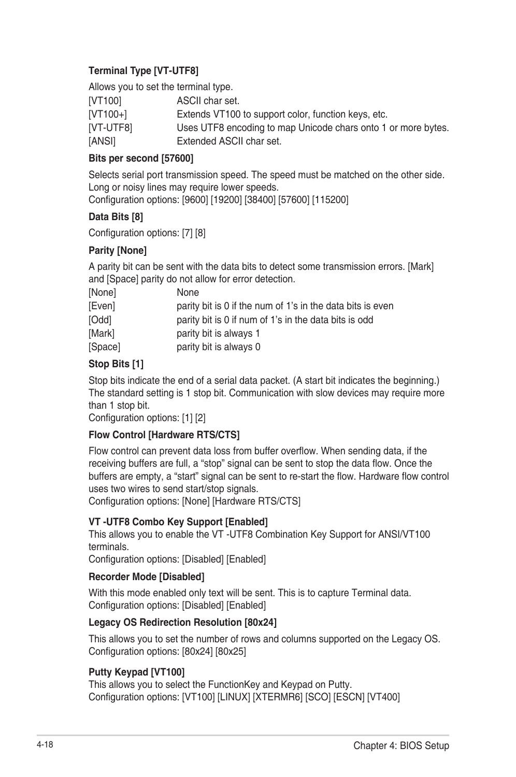### **Terminal Type [VT-UTF8]**

Allows you to set the terminal type. [VT100] ASCII char set. [VT100+] Extends VT100 to support color, function keys, etc. [VT-UTF8] Uses UTF8 encoding to map Unicode chars onto 1 or more bytes. [ANSI] Extended ASCII char set.

### **Bits per second [57600]**

Selects serial port transmission speed. The speed must be matched on the other side. Long or noisy lines may require lower speeds.

Configuration options: [9600] [19200] [38400] [57600] [115200]

### **Data Bits [8]**

Configuration options: [7] [8]

### **Parity [None]**

A parity bit can be sent with the data bits to detect some transmission errors. [Mark] and [Space] parity do not allow for error detection.

| [None]  | None                                                       |
|---------|------------------------------------------------------------|
| [Even]  | parity bit is 0 if the num of 1's in the data bits is even |
| [Odd]   | parity bit is 0 if num of 1's in the data bits is odd      |
| [Mark]  | parity bit is always 1                                     |
| [Space] | parity bit is always 0                                     |

### **Stop Bits [1]**

Stop bits indicate the end of a serial data packet. (A start bit indicates the beginning.) The standard setting is 1 stop bit. Communication with slow devices may require more than 1 stop bit.

Configuration options: [1] [2]

### **Flow Control [Hardware RTS/CTS]**

Flow control can prevent data loss from buffer overflow. When sending data, if the receiving buffers are full, a "stop" signal can be sent to stop the data flow. Once the buffers are empty, a "start" signal can be sent to re-start the flow. Hardware flow control uses two wires to send start/stop signals.

Configuration options: [None] [Hardware RTS/CTS]

### **VT -UTF8 Combo Key Support [Enabled]**

This allows you to enable the VT -UTF8 Combination Key Support for ANSI/VT100 terminals.

Configuration options: [Disabled] [Enabled]

### **Recorder Mode [Disabled]**

With this mode enabled only text will be sent. This is to capture Terminal data. Configuration options: [Disabled] [Enabled]

### **Legacy OS Redirection Resolution [80x24]**

This allows you to set the number of rows and columns supported on the Legacy OS. Configuration options: [80x24] [80x25]

### **Putty Keypad [VT100]**

This allows you to select the FunctionKey and Keypad on Putty. Configuration options: [VT100] [LINUX] [XTERMR6] [SCO] [ESCN] [VT400]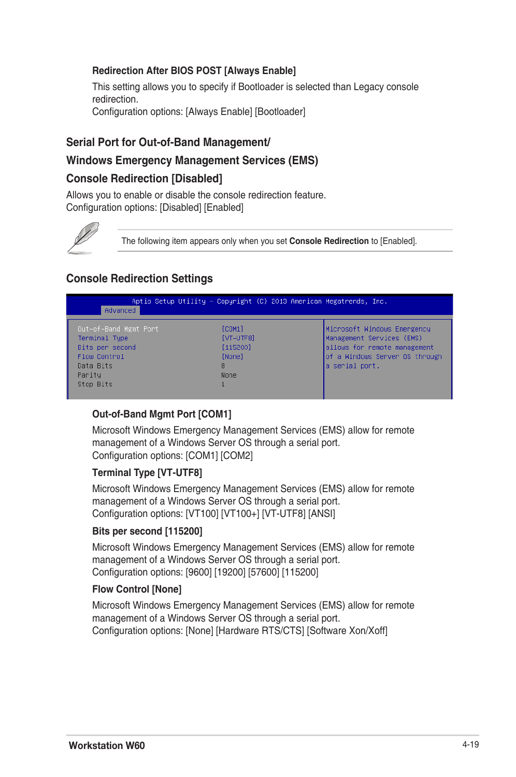### **Redirection After BIOS POST [Always Enable]**

This setting allows you to specify if Bootloader is selected than Legacy console redirection. Configuration options: [Always Enable] [Bootloader]

### **Serial Port for Out-of-Band Management/**

# **Windows Emergency Management Services (EMS)**

### **Console Redirection [Disabled]**

Allows you to enable or disable the console redirection feature. Configuration options: [Disabled] [Enabled]



The following item appears only when you set **Console Redirection** to [Enabled].

### **Console Redirection Settings**

| Advanced                                                                                                      |                                                                | Aptio Setup Utility – Copyright (C) 2013 American Megatrends, Inc.                                                                           |
|---------------------------------------------------------------------------------------------------------------|----------------------------------------------------------------|----------------------------------------------------------------------------------------------------------------------------------------------|
| Out-of-Band Mgmt Port<br>Terminal Type<br>Bits per second<br>Flow Control<br>Data Bits<br>Parity<br>Stop Bits | [COM1]<br><b>IVT-UTF81</b><br>[115200]<br>[None]<br>8<br>None. | Microsoft Windows Emergency<br>Management Services (EMS)<br>allows for remote management<br>of a Windows Server OS through<br>a serial port. |

### **Out-of-Band Mgmt Port [COM1]**

Microsoft Windows Emergency Management Services (EMS) allow for remote management of a Windows Server OS through a serial port. Configuration options: [COM1] [COM2]

### **Terminal Type [VT-UTF8]**

Microsoft Windows Emergency Management Services (EMS) allow for remote management of a Windows Server OS through a serial port. Configuration options: [VT100] [VT100+] [VT-UTF8] [ANSI]

### **Bits per second [115200]**

Microsoft Windows Emergency Management Services (EMS) allow for remote management of a Windows Server OS through a serial port. Configuration options: [9600] [19200] [57600] [115200]

### **Flow Control [None]**

Microsoft Windows Emergency Management Services (EMS) allow for remote management of a Windows Server OS through a serial port. Configuration options: [None] [Hardware RTS/CTS] [Software Xon/Xoff]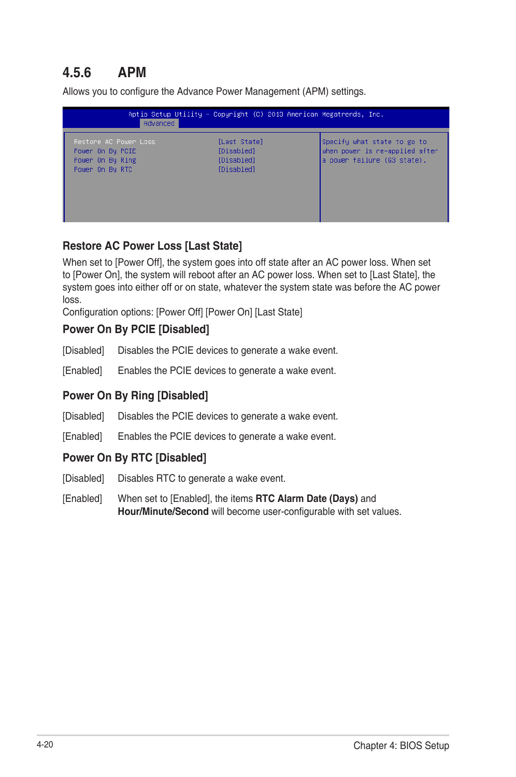# **4.5.6 APM**

Allows you to configure the Advance Power Management (APM) settings.

| Aptio Setup Utility – Copyright (C) 2013 American Megatrends, Inc.<br>Advanced   |                                                        |                                                                                              |
|----------------------------------------------------------------------------------|--------------------------------------------------------|----------------------------------------------------------------------------------------------|
| Restore AC Power Loss<br>Power On By PCIE<br>Power On By Ring<br>Power On By RTC | [Last State]<br>[Disabled]<br>[Disabled]<br>[Disabled] | Specify what state to go to<br>when power is re–applied after<br>a power failure (G3 state). |

### **Restore AC Power Loss [Last State]**

When set to [Power Off], the system goes into off state after an AC power loss. When set to [Power On], the system will reboot after an AC power loss. When set to [Last State], the system goes into either off or on state, whatever the system state was before the AC power loss.

Configuration options: [Power Off] [Power On] [Last State]

### **Power On By PCIE [Disabled]**

[Disabled] Disables the PCIE devices to generate a wake event.

[Enabled] Enables the PCIE devices to generate a wake event.

### **Power On By Ring [Disabled]**

- [Disabled] Disables the PCIE devices to generate a wake event.
- [Enabled] Enables the PCIE devices to generate a wake event.

### **Power On By RTC [Disabled]**

- [Disabled] Disables RTC to generate a wake event.
- [Enabled] When set to [Enabled], the items **RTC Alarm Date (Days)** and **Hour/Minute/Second** will become user-configurable with set values.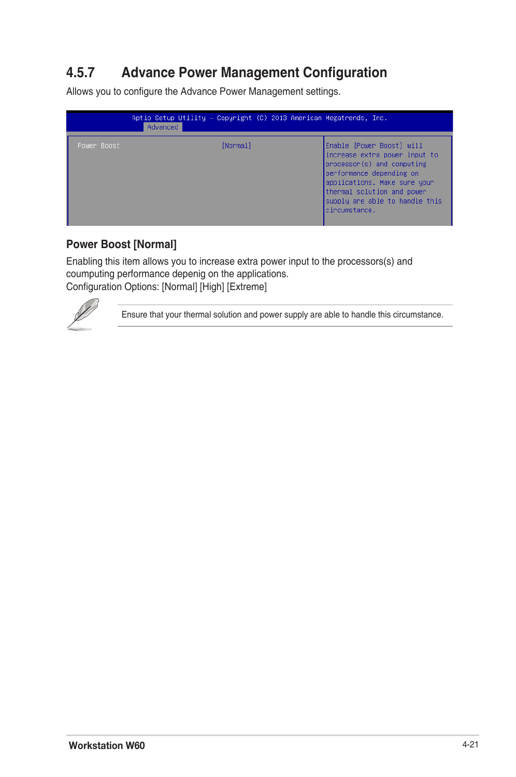# **4.5.7 Advance Power Management Configuration**

Allows you to configure the Advance Power Management settings.

|             | Aptio Setup Utility – Copyright (C) 2013 American Megatrends, Inc.<br>Advanced |                                                                                                                                                                                                                                       |
|-------------|--------------------------------------------------------------------------------|---------------------------------------------------------------------------------------------------------------------------------------------------------------------------------------------------------------------------------------|
| Power Boost | [Normal]                                                                       | Enable [Power Boost] will<br>increase extra power input to<br>processor(s) and computing<br>performance depending on<br>applications. Make sure your<br>thermal solution and power<br>supply are able to handle this<br>circumstance. |

### **Power Boost [Normal]**

Enabling this item allows you to increase extra power input to the processors(s) and coumputing performance depenig on the applications. Configuration Options: [Normal] [High] [Extreme]



Ensure that your thermal solution and power supply are able to handle this circumstance.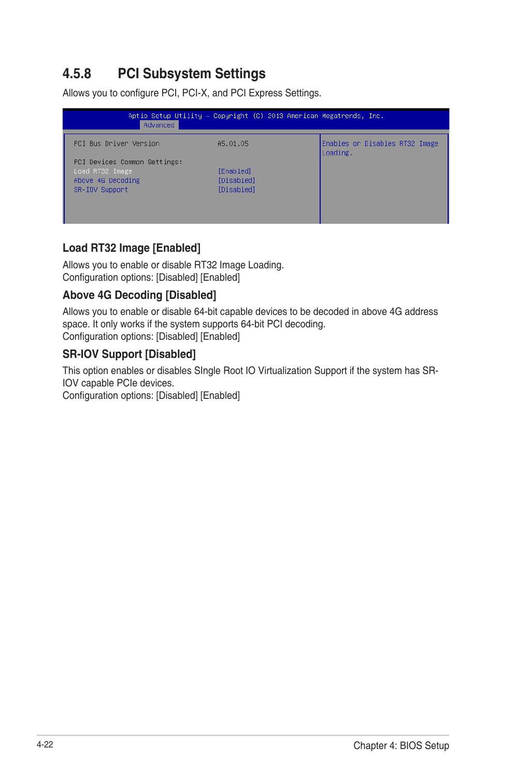# **4.5.8 PCI Subsystem Settings**

Allows you to configure PCI, PCI-X, and PCI Express Settings.



### **Load RT32 Image [Enabled]**

Allows you to enable or disable RT32 Image Loading. Configuration options: [Disabled] [Enabled]

### **Above 4G Decoding [Disabled]**

Allows you to enable or disable 64-bit capable devices to be decoded in above 4G address space. It only works if the system supports 64-bit PCI decoding. Configuration options: [Disabled] [Enabled]

### **SR-IOV Support [Disabled]**

This option enables or disables SIngle Root IO Virtualization Support if the system has SR-IOV capable PCIe devices. Configuration options: [Disabled] [Enabled]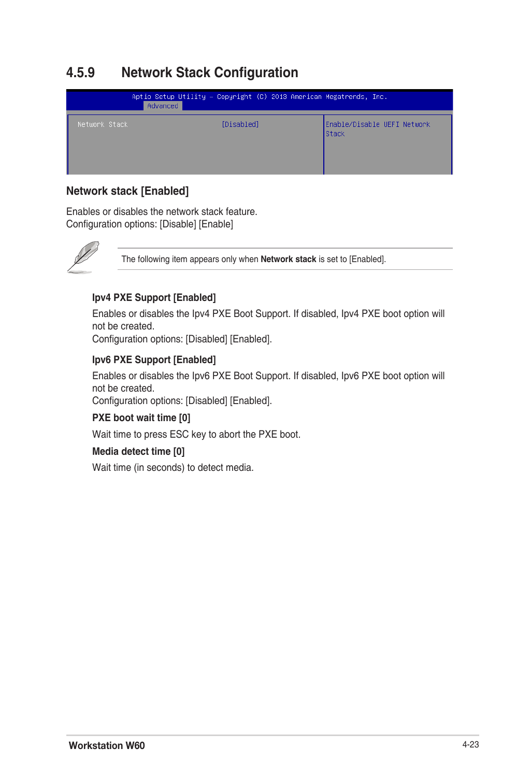# **4.5.9 Network Stack Configuration**

| Aptio Setup Utility – Copyright (C) 2013 American Megatrends, Inc.<br>Advanced |            |                                      |  |
|--------------------------------------------------------------------------------|------------|--------------------------------------|--|
| Network Stack                                                                  | [Disabled] | Enable/Disable UEFI Network<br>Stack |  |

### **Network stack [Enabled]**

Enables or disables the network stack feature. Configuration options: [Disable] [Enable]



The following item appears only when **Network stack** is set to [Enabled].

### **Ipv4 PXE Support [Enabled]**

Enables or disables the Ipv4 PXE Boot Support. If disabled, Ipv4 PXE boot option will not be created.

Configuration options: [Disabled] [Enabled].

### **Ipv6 PXE Support [Enabled]**

Enables or disables the Ipv6 PXE Boot Support. If disabled, Ipv6 PXE boot option will not be created. Configuration options: [Disabled] [Enabled].

### **PXE boot wait time [0]**

Wait time to press ESC key to abort the PXE boot.

### **Media detect time [0]**

Wait time (in seconds) to detect media.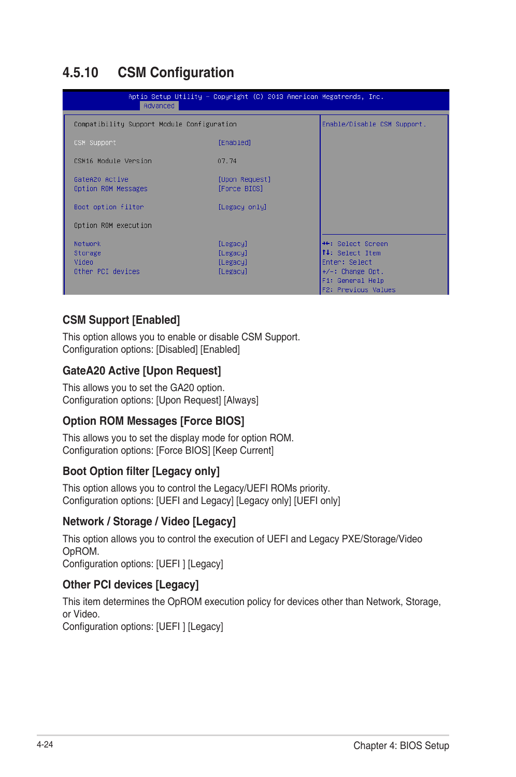# **4.5.10 CSM Configuration**

| Aptio Setup Utility – Copyright (C) 2013 American Megatrends, Inc.<br>Advanced |                                              |                                                                                                                                      |
|--------------------------------------------------------------------------------|----------------------------------------------|--------------------------------------------------------------------------------------------------------------------------------------|
| Compatibility Support Module Configuration                                     |                                              | Enable/Disable CSM Support.                                                                                                          |
| CSM Support                                                                    | [Enabled]                                    |                                                                                                                                      |
| CSM16 Module Version                                                           | 07.74                                        |                                                                                                                                      |
| GateA20 Active<br>Option ROM Messages                                          | [Upon Request]<br>[Force BIOS]               |                                                                                                                                      |
| Boot option filter                                                             | [Legacy only]                                |                                                                                                                                      |
| Option ROM execution                                                           |                                              |                                                                                                                                      |
| Network<br>Storage<br>Video<br>Other PCI devices                               | [Legacy]<br>[Legacy]<br>[Legacy]<br>[Legacy] | <b>**:</b> Select Screen<br>↑↓: Select Item<br>Enter: Select<br>$+/-:$ Change Opt.<br>F1: General Help<br><b>F2: Previous Values</b> |

### **CSM Support [Enabled]**

This option allows you to enable or disable CSM Support. Configuration options: [Disabled] [Enabled]

### **GateA20 Active [Upon Request]**

This allows you to set the GA20 option. Configuration options: [Upon Request] [Always]

### **Option ROM Messages [Force BIOS]**

This allows you to set the display mode for option ROM. Configuration options: [Force BIOS] [Keep Current]

### **Boot Option filter [Legacy only]**

This option allows you to control the Legacy/UEFI ROMs priority. Configuration options: [UEFI and Legacy] [Legacy only] [UEFI only]

### **Network / Storage / Video [Legacy]**

This option allows you to control the execution of UEFI and Legacy PXE/Storage/Video OpROM.

Configuration options: [UEFI ] [Legacy]

### **Other PCI devices [Legacy]**

This item determines the OpROM execution policy for devices other than Network, Storage, or Video. Configuration options: [UEFI ] [Legacy]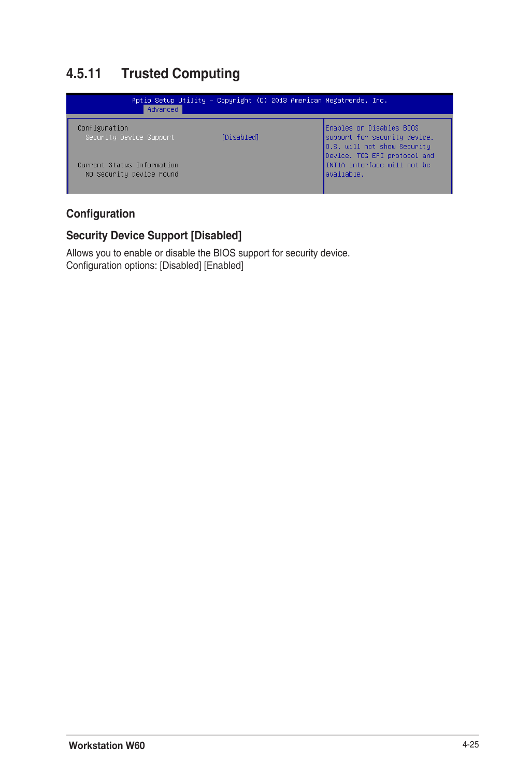# **4.5.11 Trusted Computing**

| Aptio Setup Utility – Copyright (C) 2013 American Megatrends, Inc.<br>Advanced |            |                                                                                         |
|--------------------------------------------------------------------------------|------------|-----------------------------------------------------------------------------------------|
| Configuration<br>Security Device Support                                       | [Disabled] | Enables or Disables BIOS<br>support for security device.<br>O.S. will not show Security |
| Current Status Information<br>NO Security Device Found                         |            | Device. TCG EFI protocol and<br>INT1A interface will not be<br>available.               |

### **Configuration**

### **Security Device Support [Disabled]**

Allows you to enable or disable the BIOS support for security device. Configuration options: [Disabled] [Enabled]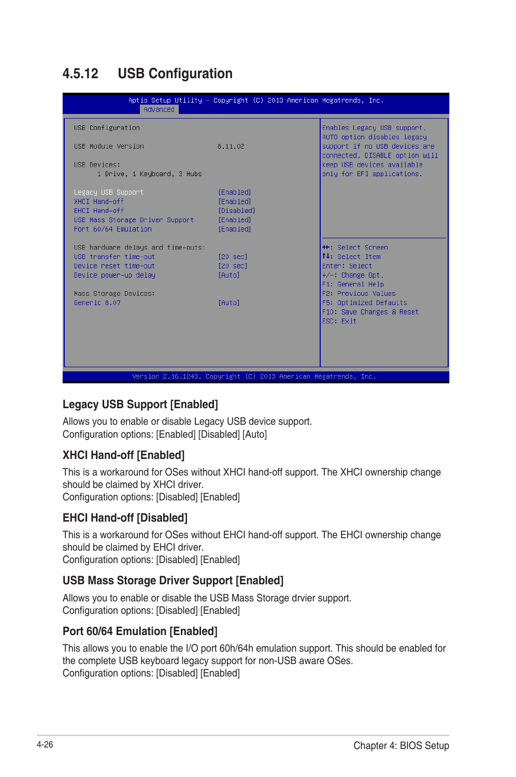# **4.5.12 USB Configuration**

| Advanced                                                                                                        | Aptio Setup Utility – Copyright (C) 2013 American Megatrends, Inc. |                                                                                                |
|-----------------------------------------------------------------------------------------------------------------|--------------------------------------------------------------------|------------------------------------------------------------------------------------------------|
| USB Configuration                                                                                               |                                                                    | Enables Legacy USB support.                                                                    |
| USB Module Version                                                                                              | 8.11.02                                                            | AUTO option disables legacy<br>support if no USB devices are<br>connected. DISABLE option will |
| <b>HSB Devices:</b><br>1 Drive, 1 Keyboard, 3 Hubs                                                              |                                                                    | keep USB devices available<br>only for EFI applications.                                       |
| Legacy USB Support<br>XHCI Hand-off<br>EHCI Hand-off<br>USB Mass Storage Driver Support<br>Port 60/64 Emulation | [Enabled]<br>[Enabled]<br>[Disabled]<br>[Enabled]<br>[Enabled]     |                                                                                                |
| USB hardware delays and time-outs:                                                                              |                                                                    | <b>++:</b> Select Screen                                                                       |
| USB transfer time-out                                                                                           | $[20 \text{ sec}]$                                                 | <b>↑↓</b> : Select Item                                                                        |
| Device reset time-out                                                                                           | $[20 \text{ sec}]$                                                 | Fnter: Select                                                                                  |
| Device power-up delay                                                                                           | fautol                                                             | $+/-:$ Change Opt.                                                                             |
| Mass Storage Devices:                                                                                           |                                                                    | F1: General Help<br>F2: Previous Values                                                        |
| Generic 8.07                                                                                                    | [Auto]                                                             | F5: Optimized Defaults                                                                         |
|                                                                                                                 |                                                                    | F10: Save Changes & Reset                                                                      |
|                                                                                                                 |                                                                    | ESC: Exit                                                                                      |
|                                                                                                                 |                                                                    |                                                                                                |
|                                                                                                                 |                                                                    |                                                                                                |
|                                                                                                                 |                                                                    |                                                                                                |
|                                                                                                                 |                                                                    |                                                                                                |
|                                                                                                                 | Version 2.16.1243. Copyright (C) 2013 American Megatrends, Inc.    |                                                                                                |

### **Legacy USB Support [Enabled]**

Allows you to enable or disable Legacy USB device support. Configuration options: [Enabled] [Disabled] [Auto]

### **XHCI Hand-off [Enabled]**

This is a workaround for OSes without XHCI hand-off support. The XHCI ownership change should be claimed by XHCI driver. Configuration options: [Disabled] [Enabled]

### **EHCI Hand-off [Disabled]**

This is a workaround for OSes without EHCI hand-off support. The EHCI ownership change should be claimed by EHCI driver. Configuration options: [Disabled] [Enabled]

### **USB Mass Storage Driver Support [Enabled]**

Allows you to enable or disable the USB Mass Storage drvier support. Configuration options: [Disabled] [Enabled]

### **Port 60/64 Emulation [Enabled]**

This allows you to enable the I/O port 60h/64h emulation support. This should be enabled for the complete USB keyboard legacy support for non-USB aware OSes. Configuration options: [Disabled] [Enabled]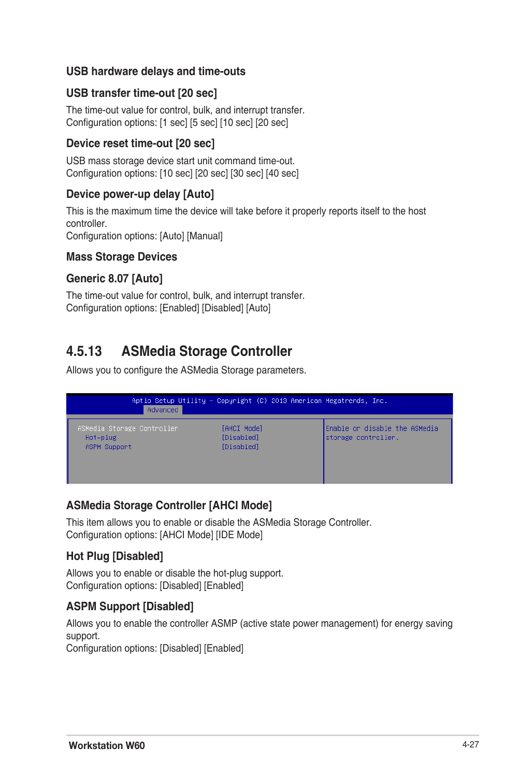### **USB hardware delays and time-outs**

### **USB transfer time-out [20 sec]**

The time-out value for control, bulk, and interrupt transfer. Configuration options: [1 sec] [5 sec] [10 sec] [20 sec]

### **Device reset time-out [20 sec]**

USB mass storage device start unit command time-out. Configuration options: [10 sec] [20 sec] [30 sec] [40 sec]

### **Device power-up delay [Auto]**

This is the maximum time the device will take before it properly reports itself to the host controller.

Configuration options: [Auto] [Manual]

### **Mass Storage Devices**

### **Generic 8.07 [Auto]**

The time-out value for control, bulk, and interrupt transfer. Configuration options: [Enabled] [Disabled] [Auto]

# **4.5.13 ASMedia Storage Controller**

Allows you to configure the ASMedia Storage parameters.



### **ASMedia Storage Controller [AHCI Mode]**

This item allows you to enable or disable the ASMedia Storage Controller. Configuration options: [AHCI Mode] [IDE Mode]

### **Hot Plug [Disabled]**

Allows you to enable or disable the hot-plug support. Configuration options: [Disabled] [Enabled]

### **ASPM Support [Disabled]**

Allows you to enable the controller ASMP (active state power management) for energy saving support.

Configuration options: [Disabled] [Enabled]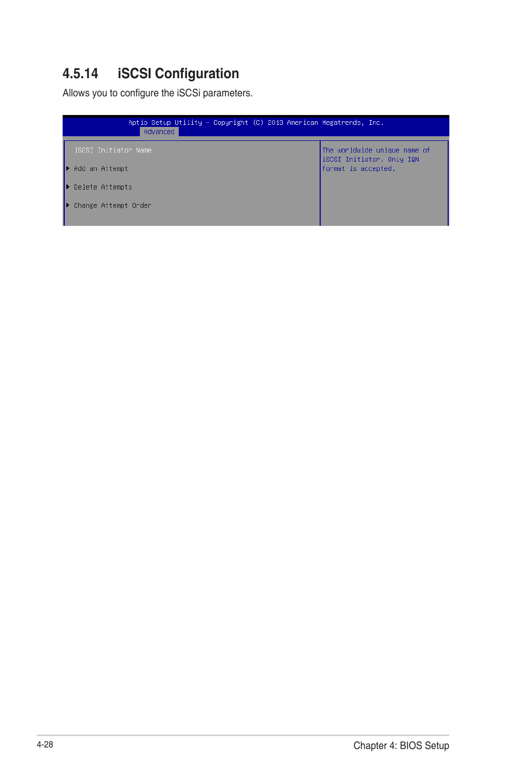# **4.5.14 iSCSI Configuration**

Allows you to configure the iSCSi parameters.

| Aptio Setup Utility – Copyright (C) 2013 American Megatrends, Inc.<br>Advanced |                                                           |
|--------------------------------------------------------------------------------|-----------------------------------------------------------|
| iSCSI Initiator Name                                                           | The worldwide unique name of<br>iSCSI Initiator. Only IQN |
| Þ<br>Add an Attempt                                                            | format is accepted.                                       |
| Þ<br>Delete Attempts                                                           |                                                           |
| Þ<br>Change Attempt Order                                                      |                                                           |
|                                                                                |                                                           |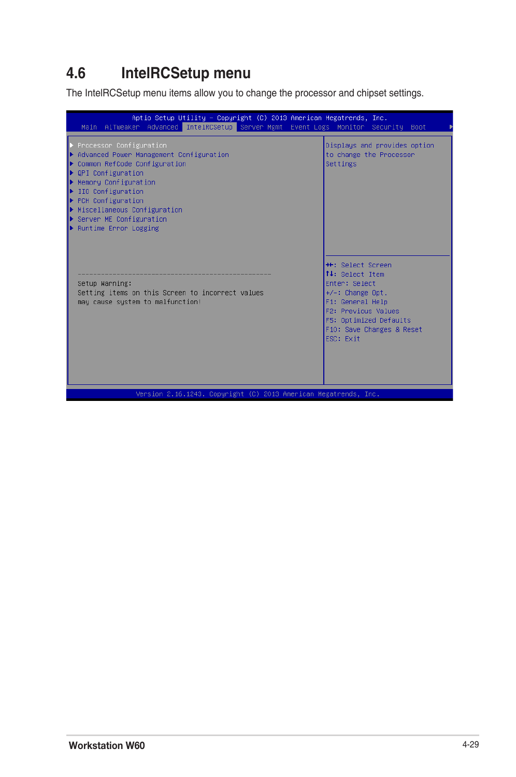# **4.6 IntelRCSetup menu**

The IntelRCSetup menu items allow you to change the processor and chipset settings.

| Aptio Setup Utility – Copyright (C) 2013 American Megatrends, Inc.<br>Main AiTweaker Advanced IntelRCSetup Server Mgmt Event Logs Monitor Security Boot                                                                                                                                                                                                                                               |                                                                                                                                                                                                 |
|-------------------------------------------------------------------------------------------------------------------------------------------------------------------------------------------------------------------------------------------------------------------------------------------------------------------------------------------------------------------------------------------------------|-------------------------------------------------------------------------------------------------------------------------------------------------------------------------------------------------|
| $\blacktriangleright$ Processor Configuration<br>│▶ Advanced Power Management Configuration<br>▶ Common RefCode Configuration<br>$\blacktriangleright$ QPI Configuration<br>▶ Memory Configuration<br>$\blacktriangleright$ IIO Configuration<br>$\blacktriangleright$ PCH Configuration<br>▶ Miscellaneous Configuration<br>▶ Server ME Configuration<br>$\blacktriangleright$ Runtime Error Logging | Displays and provides option<br>to change the Processor<br>Settings                                                                                                                             |
| Setup Warning:<br>Setting items on this Screen to incorrect values<br>may cause system to malfunction!                                                                                                                                                                                                                                                                                                | <b>++:</b> Select Screen<br>14: Select Ttem<br>Fnter: Select<br>+/-: Change Opt.<br>F1: General Help<br>F2: Previous Values<br>F5: Optimized Defaults<br>F10: Save Changes & Reset<br>ESC: Exit |
| Version 2.16.1243. Copyright (C) 2013 American Megatrends, Inc.                                                                                                                                                                                                                                                                                                                                       |                                                                                                                                                                                                 |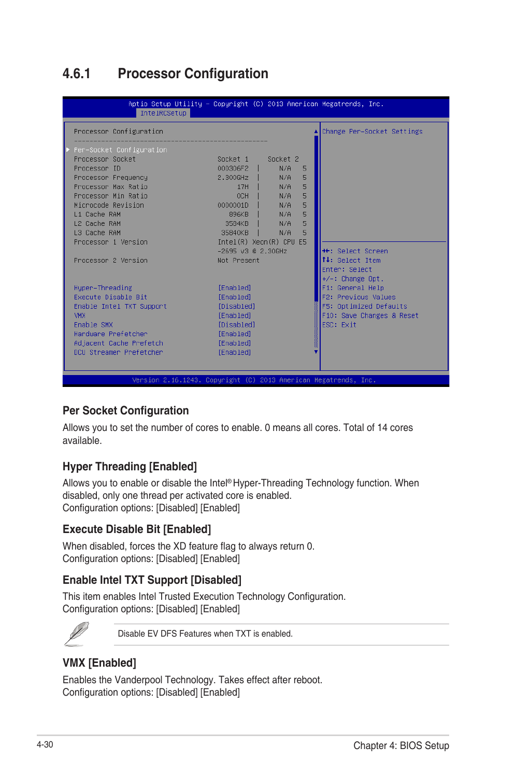# **4.6.1 Processor Configuration**

| IntelRCSetup                                                                                                                                                                                                                                                                                                                                                                                                                          | Aptio Setup Utility – Copyright (C) 2013 American Megatrends, Inc.                                                                                                                                                                                                                                                                                                                                                             |                                                                                                                                                                                                          |
|---------------------------------------------------------------------------------------------------------------------------------------------------------------------------------------------------------------------------------------------------------------------------------------------------------------------------------------------------------------------------------------------------------------------------------------|--------------------------------------------------------------------------------------------------------------------------------------------------------------------------------------------------------------------------------------------------------------------------------------------------------------------------------------------------------------------------------------------------------------------------------|----------------------------------------------------------------------------------------------------------------------------------------------------------------------------------------------------------|
| Processor Configuration                                                                                                                                                                                                                                                                                                                                                                                                               |                                                                                                                                                                                                                                                                                                                                                                                                                                | Change Per-Socket Settings                                                                                                                                                                               |
| Per–Socket Configuration<br>Processor Socket<br>Processor ID<br>Processor Frequency<br>Processor Max Ratio<br>Processor Min Ratio<br>Microcode Revision<br>L1 Cache RAM<br>1.2 Cache RAM<br>L3 Cache RAM<br>Processor 1 Version<br>Processor 2 Version<br>Hyper-Threading<br>Execute Disable Bit<br>Enable Intel TXT Support<br><b>VMX</b><br>Enable SMX<br>Hardware Prefetcher<br>Adjacent Cache Prefetch<br>DCU Streamer Prefetcher | Socket 1<br>Socket <sub>2</sub><br>000306F2  <br>5<br>N/A<br>5<br>$2.300$ GHz<br>N/A<br>5<br>N/A<br>$17H$ $\Box$<br>5<br>OCH -<br>N/A<br>5<br>0000001D<br>N/A<br>5<br>896KB L<br>N/A<br>5<br>3584KB  <br>N/A<br>$\overline{5}$<br>35840KB  <br>N/A<br>Intel(R) Xeon(R) CPU E5<br>$-2695$ v3 @ 2.30GHz<br>Not Present<br>[Enabled]<br>[Fnabled]<br>[Disabled]<br>[Fnabled]<br>[Disabled]<br>[Enabled]<br>[Enabled]<br>[Enabled] | <b>**: Select Screen</b><br>14: Select Item<br>Enter: Select<br>$+/-:$ Change Opt.<br>F1: General Help<br><b>F2: Previous Values</b><br>F5: Optimized Defaults<br>F10: Save Changes & Reset<br>ESC: Exit |
|                                                                                                                                                                                                                                                                                                                                                                                                                                       | Version 2.16.1243. Copyright (C) 2013 American Megatrends, Inc.                                                                                                                                                                                                                                                                                                                                                                |                                                                                                                                                                                                          |

### **Per Socket Configuration**

Allows you to set the number of cores to enable. 0 means all cores. Total of 14 cores available.

### **Hyper Threading [Enabled]**

Allows you to enable or disable the Intel® Hyper-Threading Technology function. When disabled, only one thread per activated core is enabled. Configuration options: [Disabled] [Enabled]

### **Execute Disable Bit [Enabled]**

When disabled, forces the XD feature flag to always return 0. Configuration options: [Disabled] [Enabled]

### **Enable Intel TXT Support [Disabled]**

This item enables Intel Trusted Execution Technology Configuration. Configuration options: [Disabled] [Enabled]



Disable EV DFS Features when TXT is enabled.

### **VMX [Enabled]**

Enables the Vanderpool Technology. Takes effect after reboot. Configuration options: [Disabled] [Enabled]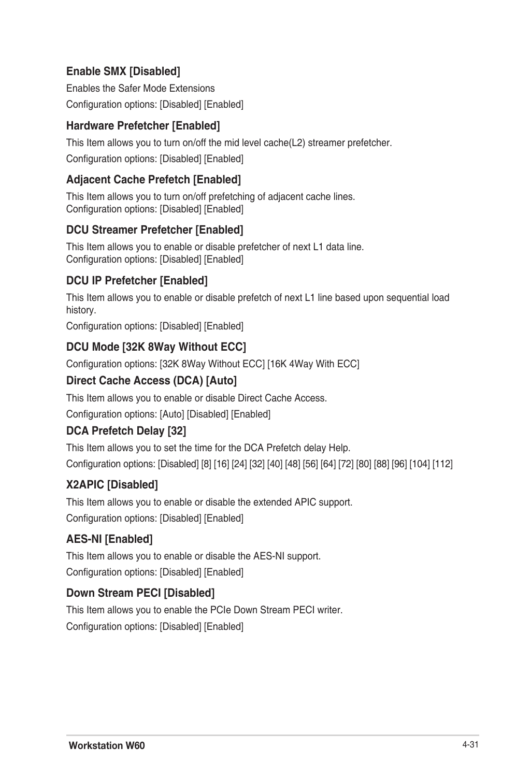### **Enable SMX [Disabled]**

Enables the Safer Mode Extensions Configuration options: [Disabled] [Enabled]

### **Hardware Prefetcher [Enabled]**

This Item allows you to turn on/off the mid level cache(L2) streamer prefetcher.

Configuration options: [Disabled] [Enabled]

### **Adjacent Cache Prefetch [Enabled]**

This Item allows you to turn on/off prefetching of adjacent cache lines. Configuration options: [Disabled] [Enabled]

### **DCU Streamer Prefetcher [Enabled]**

This Item allows you to enable or disable prefetcher of next L1 data line. Configuration options: [Disabled] [Enabled]

### **DCU IP Prefetcher [Enabled]**

This Item allows you to enable or disable prefetch of next L1 line based upon sequential load history.

Configuration options: [Disabled] [Enabled]

### **DCU Mode [32K 8Way Without ECC]**

Configuration options: [32K 8Way Without ECC] [16K 4Way With ECC]

### **Direct Cache Access (DCA) [Auto]**

This Item allows you to enable or disable Direct Cache Access.

Configuration options: [Auto] [Disabled] [Enabled]

### **DCA Prefetch Delay [32]**

This Item allows you to set the time for the DCA Prefetch delay Help. Configuration options: [Disabled] [8] [16] [24] [32] [40] [48] [56] [64] [72] [80] [88] [96] [104] [112]

### **X2APIC [Disabled]**

This Item allows you to enable or disable the extended APIC support. Configuration options: [Disabled] [Enabled]

### **AES-NI [Enabled]**

This Item allows you to enable or disable the AES-NI support. Configuration options: [Disabled] [Enabled]

### **Down Stream PECI [Disabled]**

This Item allows you to enable the PCIe Down Stream PECI writer. Configuration options: [Disabled] [Enabled]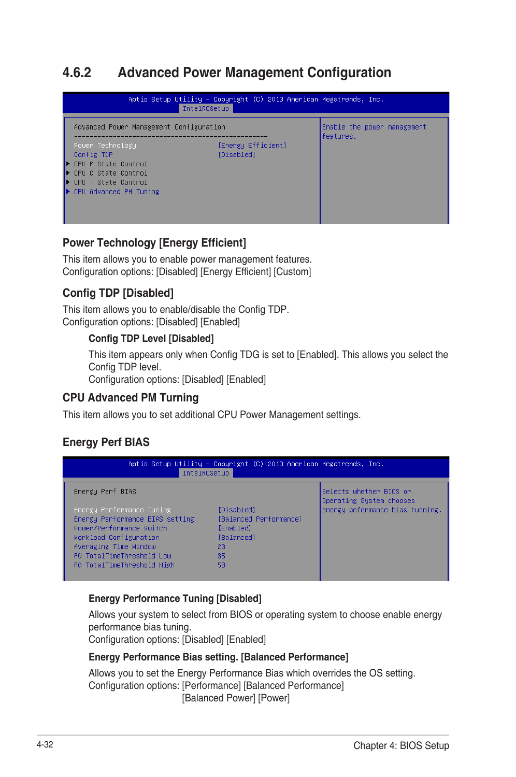# **4.6.2 Advanced Power Management Configuration**



### **Power Technology [Energy Efficient]**

This item allows you to enable power management features. Configuration options: [Disabled] [Energy Efficient] [Custom]

### **Config TDP [Disabled]**

This item allows you to enable/disable the Config TDP. Configuration options: [Disabled] [Enabled]

### **Config TDP Level [Disabled]**

This item appears only when Config TDG is set to [Enabled]. This allows you select the Config TDP level.

Configuration options: [Disabled] [Enabled]

### **CPU Advanced PM Turning**

This item allows you to set additional CPU Power Management settings.

### **Energy Perf BIAS**



### **Energy Performance Tuning [Disabled]**

Allows your system to select from BIOS or operating system to choose enable energy performance bias tuning.

Configuration options: [Disabled] [Enabled]

### **Energy Performance Bias setting. [Balanced Performance]**

Allows you to set the Energy Performance Bias which overrides the OS setting. Configuration options: [Performance] [Balanced Performance] [Balanced Power] [Power]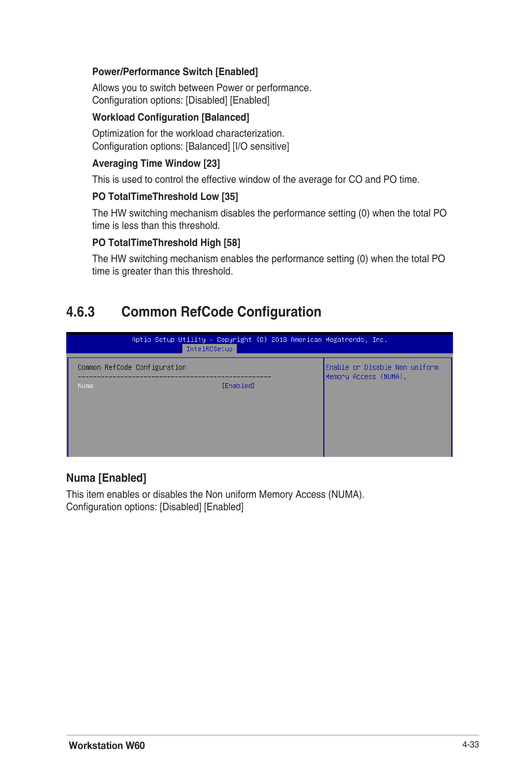### **Power/Performance Switch [Enabled]**

Allows you to switch between Power or performance. Configuration options: [Disabled] [Enabled]

### **Workload Configuration [Balanced]**

Optimization for the workload characterization. Configuration options: [Balanced] [I/O sensitive]

### **Averaging Time Window [23]**

This is used to control the effective window of the average for CO and PO time.

### **PO TotalTimeThreshold Low [35]**

The HW switching mechanism disables the performance setting (0) when the total PO time is less than this threshold.

### **PO TotalTimeThreshold High [58]**

The HW switching mechanism enables the performance setting (0) when the total PO time is greater than this threshold.

# **4.6.3 Common RefCode Configuration**

| Aptio Setup Utility – Copyright (C) 2013 American Megatrends, Inc.<br>IntelRCSetup     |           |  |  |
|----------------------------------------------------------------------------------------|-----------|--|--|
| Common RefCode Configuration<br>Enable or Disable Non uniform<br>Memory Access (NUMA). |           |  |  |
| <b>Numa</b>                                                                            | [Enabled] |  |  |
|                                                                                        |           |  |  |
|                                                                                        |           |  |  |
|                                                                                        |           |  |  |

### **Numa [Enabled]**

This item enables or disables the Non uniform Memory Access (NUMA). Configuration options: [Disabled] [Enabled]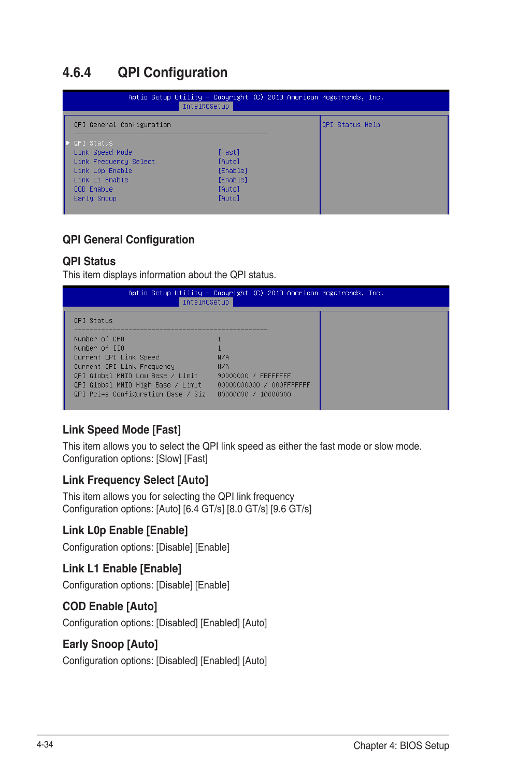# **4.6.4 QPI Configuration**

| Aptio Setup Utility – Copyright (C) 2013 American Megatrends, Inc.<br>IntelRCSetup                                       |                                                              |                 |  |
|--------------------------------------------------------------------------------------------------------------------------|--------------------------------------------------------------|-----------------|--|
| QPI General Configuration                                                                                                |                                                              | OPI Status Help |  |
| QPI Status<br>Link Speed Mode<br>Link Frequency Select<br>Link LOp Enable<br>Link L1 Fnahle<br>COD Foable<br>Early Snoop | [Fast]<br>[Auto]<br>[Enable]<br>[Enable]<br>[Auto]<br>[Auto] |                 |  |

### **QPI General Configuration**

### **QPI Status**

This item displays information about the QPI status.

| IntelRCSetup                                                                                                                                                                                          | Aptio Setup Utility – Copyright (C) 2013 American Megatrends, Inc.                   |  |
|-------------------------------------------------------------------------------------------------------------------------------------------------------------------------------------------------------|--------------------------------------------------------------------------------------|--|
| QPI Status                                                                                                                                                                                            |                                                                                      |  |
| Number of CPU<br>Number of IIO<br>Current QPI Link Speed<br>Current QPI Link Frequency<br>QPI Global MMIO Low Base / Limit<br>QPI Global MMIO High Base / Limit<br>OPI Pci−e Configuration Base / Siz | N/A<br>N/A<br>90000000 / FBFFFFFF<br>00000000000 / 000FFFFFFF<br>80000000 / 10000000 |  |

### **Link Speed Mode [Fast]**

This item allows you to select the QPI link speed as either the fast mode or slow mode. Configuration options: [Slow] [Fast]

### **Link Frequency Select [Auto]**

This item allows you for selecting the QPI link frequency Configuration options: [Auto] [6.4 GT/s] [8.0 GT/s] [9.6 GT/s]

### **Link L0p Enable [Enable]**

Configuration options: [Disable] [Enable]

### **Link L1 Enable [Enable]**

Configuration options: [Disable] [Enable]

### **COD Enable [Auto]**

Configuration options: [Disabled] [Enabled] [Auto]

### **Early Snoop [Auto]**

Configuration options: [Disabled] [Enabled] [Auto]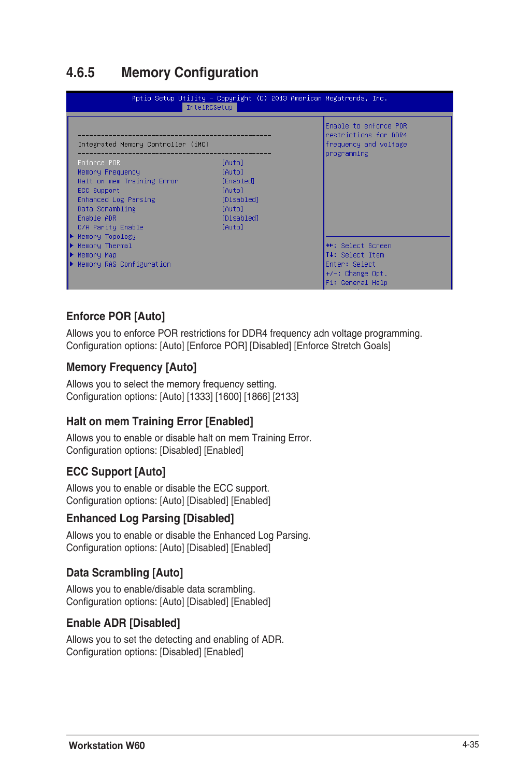# **4.6.5 Memory Configuration**

| Aptio Setup Utility – Copyright (C) 2013 American Megatrends, Inc.<br>IntelRCSetup                                                                         |                                                                                         |                                                                                                               |  |
|------------------------------------------------------------------------------------------------------------------------------------------------------------|-----------------------------------------------------------------------------------------|---------------------------------------------------------------------------------------------------------------|--|
| Integrated Memory Controller (iMC)                                                                                                                         |                                                                                         | Enable to enforce POR<br>restrictions for DDR4<br>frequency and voltage<br>programming                        |  |
| Enforce POR<br>Memory Frequency<br>Halt on mem Training Error<br>ECC Support<br>Enhanced Log Parsing<br>Data Scrambling<br>Enable ADR<br>C/A Parity Enable | [Auto]<br>[Auto]<br>[Enabled]<br>[Auto]<br>[Disabled]<br>[Auto]<br>[Disabled]<br>[Auto] |                                                                                                               |  |
| ▶ Memory Topology<br>Memory Thermal<br>Memory Map<br>Memory RAS Configuration                                                                              |                                                                                         | <b>++:</b> Select Screen<br><b>↑↓:</b> Select Item<br>Enter: Select<br>$+/-:$ Change Opt.<br>F1: General Help |  |

### **Enforce POR [Auto]**

Allows you to enforce POR restrictions for DDR4 frequency adn voltage programming. Configuration options: [Auto] [Enforce POR] [Disabled] [Enforce Stretch Goals]

### **Memory Frequency [Auto]**

Allows you to select the memory frequency setting. Configuration options: [Auto] [1333] [1600] [1866] [2133]

### **Halt on mem Training Error [Enabled]**

Allows you to enable or disable halt on mem Training Error. Configuration options: [Disabled] [Enabled]

### **ECC Support [Auto]**

Allows you to enable or disable the ECC support. Configuration options: [Auto] [Disabled] [Enabled]

### **Enhanced Log Parsing [Disabled]**

Allows you to enable or disable the Enhanced Log Parsing. Configuration options: [Auto] [Disabled] [Enabled]

### **Data Scrambling [Auto]**

Allows you to enable/disable data scrambling. Configuration options: [Auto] [Disabled] [Enabled]

### **Enable ADR [Disabled]**

Allows you to set the detecting and enabling of ADR. Configuration options: [Disabled] [Enabled]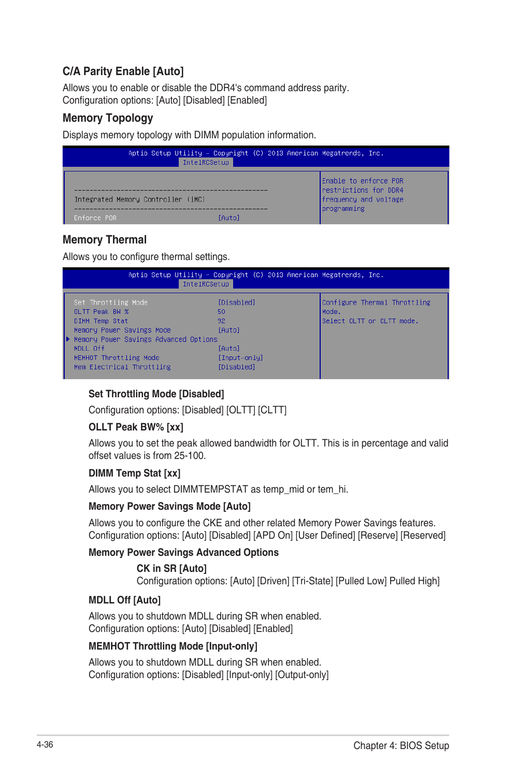### **C/A Parity Enable [Auto]**

Allows you to enable or disable the DDR4's command address parity. Configuration options: [Auto] [Disabled] [Enabled]

### **Memory Topology**

Displays memory topology with DIMM population information.

| Aptio Setup Utility – Copyright (C) 2013 American Megatrends, Inc.<br>IntelRCSetup |  |                                                                         |  |
|------------------------------------------------------------------------------------|--|-------------------------------------------------------------------------|--|
| Integrated Memory Controller (iMC)                                                 |  | Enable to enforce POR<br>restrictions for DDR4<br>frequency and voltage |  |
| [Auto]<br>Enforce POR                                                              |  | programming                                                             |  |

### **Memory Thermal**

Allows you to configure thermal settings.

| Aptio Setup Utility – Copyright (C) 2013 American Megatrends, Inc.<br>IntelRCSetup |              |                              |  |
|------------------------------------------------------------------------------------|--------------|------------------------------|--|
|                                                                                    |              |                              |  |
| Set Throttling Mode                                                                | [Disabled]   | Configure Thermal Throttling |  |
| OLTT Peak BW %                                                                     | 50           | Mode.                        |  |
| DIMM Temp Stat                                                                     | 92           | Select OLTT or CLTT mode.    |  |
| Memory Power Savings Mode                                                          | [Auto]       |                              |  |
| ▶ Memory Power Savings Advanced Options                                            |              |                              |  |
| MDLL Off                                                                           | [Auto]       |                              |  |
| MEMHOT Throttling Mode                                                             | [Input-only] |                              |  |
| Mem Electrical Throttling                                                          | [Disabled]   |                              |  |
|                                                                                    |              |                              |  |

### **Set Throttling Mode [Disabled]**

Configuration options: [Disabled] [OLTT] [CLTT]

### **OLLT Peak BW% [xx]**

Allows you to set the peak allowed bandwidth for OLTT. This is in percentage and valid offset values is from 25-100.

### **DIMM Temp Stat [xx]**

Allows you to select DIMMTEMPSTAT as temp\_mid or tem\_hi.

### **Memory Power Savings Mode [Auto]**

Allows you to configure the CKE and other related Memory Power Savings features. Configuration options: [Auto] [Disabled] [APD On] [User Defined] [Reserve] [Reserved]

### **Memory Power Savings Advanced Options**

# **CK in SR [Auto]**

Configuration options: [Auto] [Driven] [Tri-State] [Pulled Low] Pulled High]

### **MDLL Off [Auto]**

Allows you to shutdown MDLL during SR when enabled. Configuration options: [Auto] [Disabled] [Enabled]

### **MEMHOT Throttling Mode [Input-only]**

Allows you to shutdown MDLL during SR when enabled. Configuration options: [Disabled] [Input-only] [Output-only]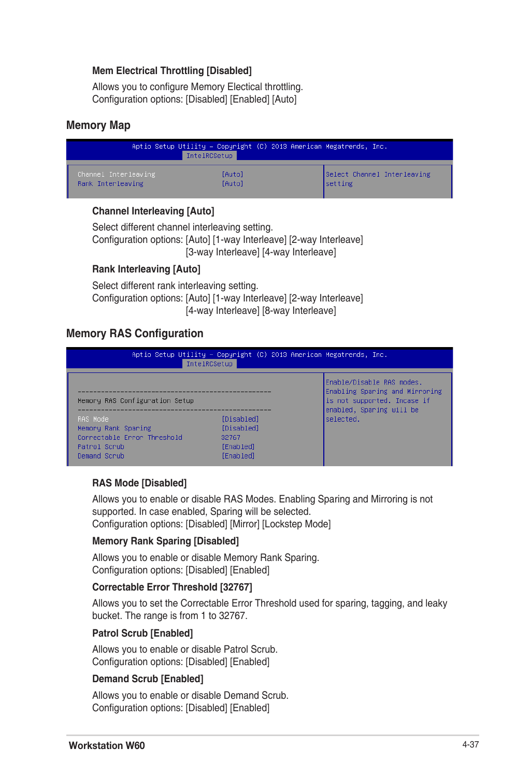### **Mem Electrical Throttling [Disabled]**

Allows you to configure Memory Electical throttling. Configuration options: [Disabled] [Enabled] [Auto]

### **Memory Map**

|                      | Aptio Setup Utility – Copyright (C) 2013 American Megatrends, Inc.<br>IntelRCSetup |                             |
|----------------------|------------------------------------------------------------------------------------|-----------------------------|
| Channel Interleaving | [Auto]                                                                             | Select Channel Interleaving |
| Rank Interleaving    | [Auto]                                                                             | Isetting                    |

### **Channel Interleaving [Auto]**

Select different channel interleaving setting. Configuration options: [Auto] [1-way Interleave] [2-way Interleave] [3-way Interleave] [4-way Interleave]

### **Rank Interleaving [Auto]**

Select different rank interleaving setting. Configuration options: [Auto] [1-way Interleave] [2-way Interleave] [4-way Interleave] [8-way Interleave]

### **Memory RAS Configuration**



### **RAS Mode [Disabled]**

Allows you to enable or disable RAS Modes. Enabling Sparing and Mirroring is not supported. In case enabled, Sparing will be selected. Configuration options: [Disabled] [Mirror] [Lockstep Mode]

### **Memory Rank Sparing [Disabled]**

Allows you to enable or disable Memory Rank Sparing. Configuration options: [Disabled] [Enabled]

### **Correctable Error Threshold [32767]**

Allows you to set the Correctable Error Threshold used for sparing, tagging, and leaky bucket. The range is from 1 to 32767.

### **Patrol Scrub [Enabled]**

Allows you to enable or disable Patrol Scrub. Configuration options: [Disabled] [Enabled]

### **Demand Scrub [Enabled]**

Allows you to enable or disable Demand Scrub. Configuration options: [Disabled] [Enabled]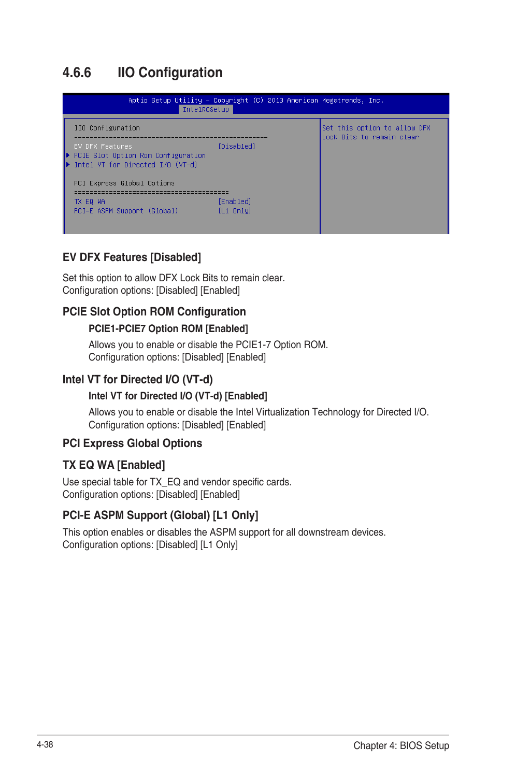# **4.6.6 IIO Configuration**

|   | <b>IntelRCSetup</b>                                                                                              | Aptio Setup Utility – Copyright (C) 2013 American Megatrends, Inc. |                                                           |
|---|------------------------------------------------------------------------------------------------------------------|--------------------------------------------------------------------|-----------------------------------------------------------|
| Þ | IIO Configuration<br>EV DFX Features<br>▶ PCIE Slot Option Rom Configuration<br>Intel VT for Directed I/O (VT-d) | <b>[Disabled]</b>                                                  | Set this option to allow DFX<br>Lock Bits to remain clear |
|   | PCI Express Global Options<br>TX EQ WA<br>PCI-E ASPM Support (Global)                                            | [Enabled]<br>[L1 0n14]                                             |                                                           |

### **EV DFX Features [Disabled]**

Set this option to allow DFX Lock Bits to remain clear. Configuration options: [Disabled] [Enabled]

### **PCIE Slot Option ROM Configuration**

### **PCIE1-PCIE7 Option ROM [Enabled]**

Allows you to enable or disable the PCIE1-7 Option ROM. Configuration options: [Disabled] [Enabled]

### **Intel VT for Directed I/O (VT-d)**

### **Intel VT for Directed I/O (VT-d) [Enabled]**

Allows you to enable or disable the Intel Virtualization Technology for Directed I/O. Configuration options: [Disabled] [Enabled]

### **PCI Express Global Options**

### **TX EQ WA [Enabled]**

Use special table for TX\_EQ and vendor specific cards. Configuration options: [Disabled] [Enabled]

### **PCI-E ASPM Support (Global) [L1 Only]**

This option enables or disables the ASPM support for all downstream devices. Configuration options: [Disabled] [L1 Only]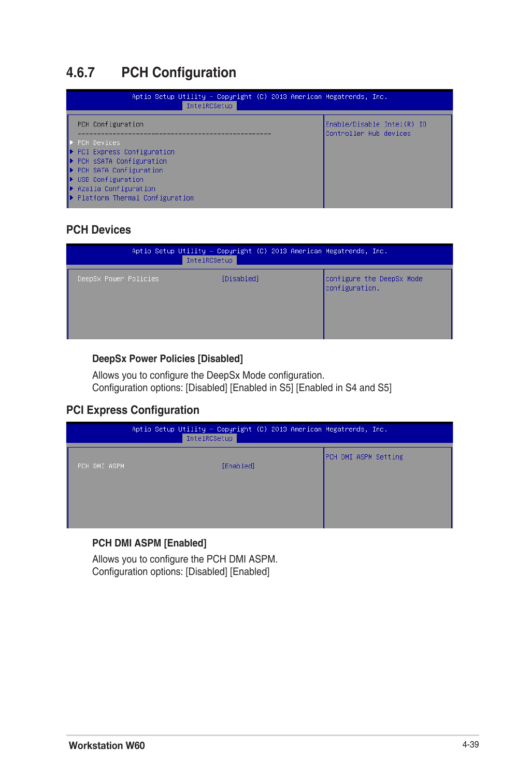# **4.6.7 PCH Configuration**

| Aptio Setup Utility – Copyright (C) 2013 American Megatrends, Inc.<br><b>IntelRCSetup</b>                                                                                                                                                                                   |                                                      |  |
|-----------------------------------------------------------------------------------------------------------------------------------------------------------------------------------------------------------------------------------------------------------------------------|------------------------------------------------------|--|
| PCH Configuration                                                                                                                                                                                                                                                           | Enable/Disable Intel(R) IO<br>Controller Hub devices |  |
| $\triangleright$ PCH Devices,<br>$\blacktriangleright$ PCI Express Configuration<br>$\blacktriangleright$ PCH sSATA Configuration<br>▶ PCH SATA Configuration<br>l≻.<br>USB Configuration<br>▶ Azalia Configuration<br>$\blacktriangleright$ Platform Thermal Configuration |                                                      |  |

### **PCH Devices**

| Aptio Setup Utility – Copyright (C) 2013 American Megatrends, Inc.<br>IntelRCSetup |            |                                             |  |
|------------------------------------------------------------------------------------|------------|---------------------------------------------|--|
| DeepSx Power Policies                                                              | [Disabled] | configure the DeepSx Mode<br>configuration. |  |

### **DeepSx Power Policies [Disabled]**

Allows you to configure the DeepSx Mode configuration. Configuration options: [Disabled] [Enabled in S5] [Enabled in S4 and S5]

### **PCI Express Configuration**

| Aptio Setup Utility – Copyright (C) 2013 American Megatrends, Inc.<br>IntelRCSetup |           |                      |
|------------------------------------------------------------------------------------|-----------|----------------------|
| PCH DMI ASPM                                                                       | [Enabled] | PCH DMI ASPM Setting |

### **PCH DMI ASPM [Enabled]**

Allows you to configure the PCH DMI ASPM. Configuration options: [Disabled] [Enabled]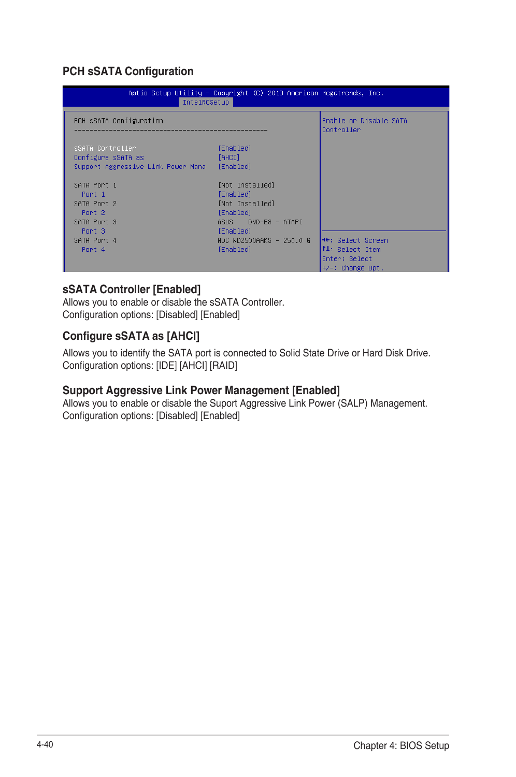### **PCH sSATA Configuration**

| Aptio Setup Utility – Copyright (C) 2013 American Megatrends, Inc.<br>IntelRCSetup                |                                                                                                                              |                                                                      |  |  |
|---------------------------------------------------------------------------------------------------|------------------------------------------------------------------------------------------------------------------------------|----------------------------------------------------------------------|--|--|
| PCH SSATA Configuration                                                                           |                                                                                                                              | Enable or Disable SATA<br>Controller                                 |  |  |
| sSATA Controller<br>Configure sSATA as<br>Support Aggressive Link Power Mana                      | [Enabled]<br>[AHCI]<br>[Enabled]                                                                                             |                                                                      |  |  |
| SATA Port 1<br>Port <sub>1</sub><br>SATA Port 2<br>Port 2<br>SATA Port 3<br>Port 3<br>SATA Port 4 | [Not Installed]<br>[Enabled]<br>[Not Installed]<br>[Enabled]<br>ASUS DVD-E8 - ATAPI<br>[Enabled]<br>WDC WD2500AAKS - 250.0 G | <b>→←</b> : Select Screen                                            |  |  |
| Port 4                                                                                            | [Enabled]                                                                                                                    | <b>II:</b> Select Item<br>Enter: Select<br>$+\angle -$ : Change Opt. |  |  |

### **sSATA Controller [Enabled]**

Allows you to enable or disable the sSATA Controller. Configuration options: [Disabled] [Enabled]

### **Configure sSATA as [AHCI]**

Allows you to identify the SATA port is connected to Solid State Drive or Hard Disk Drive. Configuration options: [IDE] [AHCI] [RAID]

### **Support Aggressive Link Power Management [Enabled]**

Allows you to enable or disable the Suport Aggressive Link Power (SALP) Management. Configuration options: [Disabled] [Enabled]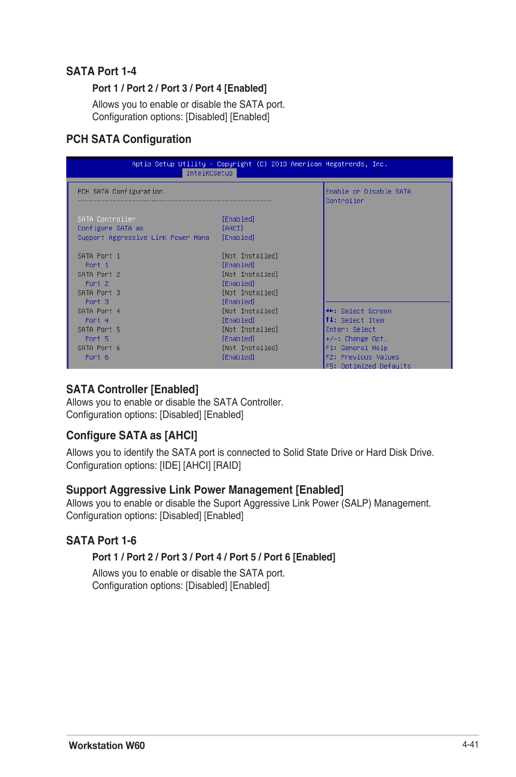### **SATA Port 1-4**

### **Port 1 / Port 2 / Port 3 / Port 4 [Enabled]**

Allows you to enable or disable the SATA port. Configuration options: [Disabled] [Enabled]

### **PCH SATA Configuration**

| Aptio Setup Utility – Copyright (C) 2013 American Megatrends, Inc.<br>IntelRCSetup |                              |                                      |  |  |  |
|------------------------------------------------------------------------------------|------------------------------|--------------------------------------|--|--|--|
| PCH SATA Configuration                                                             |                              | Enable or Disable SATA<br>Controller |  |  |  |
| SATA Controller<br>Configure SATA as                                               | [Enabled]<br>[AHCI]          |                                      |  |  |  |
| Support Aggressive Link Power Mana                                                 | [Enabled]                    |                                      |  |  |  |
| SATA Port 1<br>Port <sub>1</sub>                                                   | [Not Installed]<br>[Enabled] |                                      |  |  |  |
| SATA Port 2                                                                        | [Not Installed]              |                                      |  |  |  |
| Port <sub>2</sub>                                                                  | [Enabled]                    |                                      |  |  |  |
| SATA Port 3<br>Port 3                                                              | [Not Installed]<br>[Enabled] |                                      |  |  |  |
| SATA Port 4                                                                        | [Not Installed]              | →←: Select Screen                    |  |  |  |
| Port 4                                                                             | [Enabled]                    | .1↓: Select Item                     |  |  |  |
| SATA Port 5                                                                        | [Not Installed]              | Enter: Select                        |  |  |  |
| Port 5                                                                             | [Enabled]                    | $+\angle -$ : Change Opt.            |  |  |  |
| SATA Port 6                                                                        | [Not Installed]              | F1: General Help                     |  |  |  |
| Port 6                                                                             | [Enabled]                    | F2: Previous Values                  |  |  |  |
|                                                                                    |                              | F5: Ontimized Defaults               |  |  |  |

### **SATA Controller [Enabled]**

Allows you to enable or disable the SATA Controller. Configuration options: [Disabled] [Enabled]

### **Configure SATA as [AHCI]**

Allows you to identify the SATA port is connected to Solid State Drive or Hard Disk Drive. Configuration options: [IDE] [AHCI] [RAID]

### **Support Aggressive Link Power Management [Enabled]**

Allows you to enable or disable the Suport Aggressive Link Power (SALP) Management. Configuration options: [Disabled] [Enabled]

### **SATA Port 1-6**

### **Port 1 / Port 2 / Port 3 / Port 4 / Port 5 / Port 6 [Enabled]**

Allows you to enable or disable the SATA port. Configuration options: [Disabled] [Enabled]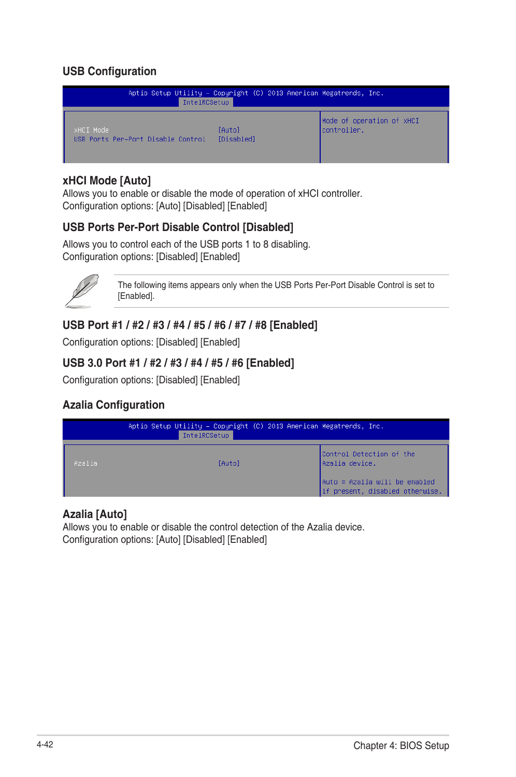### **USB Configuration**

| Aptio Setup Utility – Copyright (C) 2013 American Megatrends, Inc.<br>IntelRCSetup |            |                           |  |  |
|------------------------------------------------------------------------------------|------------|---------------------------|--|--|
| XHCI Mode                                                                          | [Auto]     | Mode of operation of xHCI |  |  |
| USB Ports Per-Port Disable Control                                                 | [Disabled] | controller.               |  |  |

### **xHCI Mode [Auto]**

Allows you to enable or disable the mode of operation of xHCI controller. Configuration options: [Auto] [Disabled] [Enabled]

### **USB Ports Per-Port Disable Control [Disabled]**

Allows you to control each of the USB ports 1 to 8 disabling. Configuration options: [Disabled] [Enabled]



The following items appears only when the USB Ports Per-Port Disable Control is set to [Enabled].

### **USB Port #1 / #2 / #3 / #4 / #5 / #6 / #7 / #8 [Enabled]**

Configuration options: [Disabled] [Enabled]

### **USB 3.0 Port #1 / #2 / #3 / #4 / #5 / #6 [Enabled]**

Configuration options: [Disabled] [Enabled]

### **Azalia Configuration**

|        | Aptio Setup Utility – Copyright $(C)$ 2013 American Megatrends, Inc.<br>IntelRCSetup |                                                                  |
|--------|--------------------------------------------------------------------------------------|------------------------------------------------------------------|
| Azalia | [Auto]                                                                               | Control Detection of the<br>Azalia device.                       |
|        |                                                                                      | Auto = Azalia will be enabled<br>if present, disabled otherwise. |

### **Azalia [Auto]**

Allows you to enable or disable the control detection of the Azalia device. Configuration options: [Auto] [Disabled] [Enabled]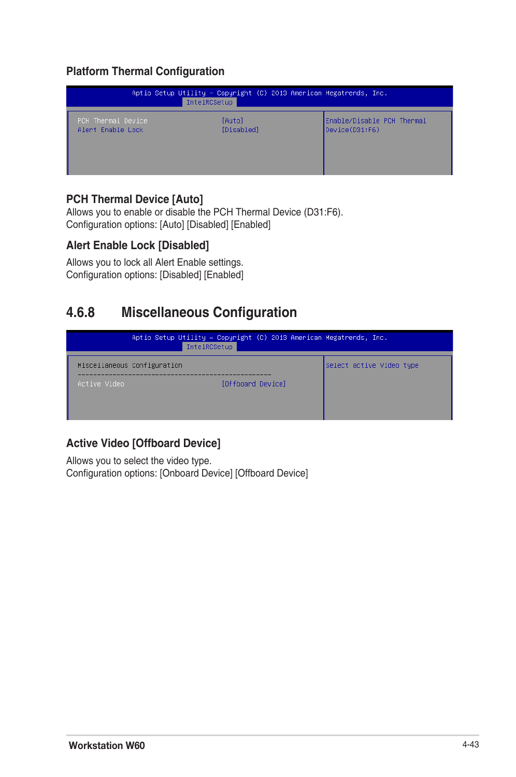### **Platform Thermal Configuration**

| Aptio Setup Utility – Copyright (C) 2013 American Megatrends, Inc.<br>IntelRCSetup |                   |                             |  |
|------------------------------------------------------------------------------------|-------------------|-----------------------------|--|
| PCH Thermal Device                                                                 | [Auto]            | ∣Enable/Disable PCH Thermal |  |
| Alert Enable Lock                                                                  | <b>[Disabled]</b> | Device(D31:F6)              |  |

### **PCH Thermal Device [Auto]**

Allows you to enable or disable the PCH Thermal Device (D31:F6). Configuration options: [Auto] [Disabled] [Enabled]

### **Alert Enable Lock [Disabled]**

Allows you to lock all Alert Enable settings. Configuration options: [Disabled] [Enabled]

# **4.6.8 Miscellaneous Configuration**

|                                   | Aptio Setup Utility – Copyright (C) 2013 American Megatrends, Inc.<br>IntelRCSetup |                          |
|-----------------------------------|------------------------------------------------------------------------------------|--------------------------|
| Miscellaneous Configuration       |                                                                                    | Select active Video type |
| Active Video<br>[Offboard Device] |                                                                                    |                          |
|                                   |                                                                                    |                          |

### **Active Video [Offboard Device]**

Allows you to select the video type. Configuration options: [Onboard Device] [Offboard Device]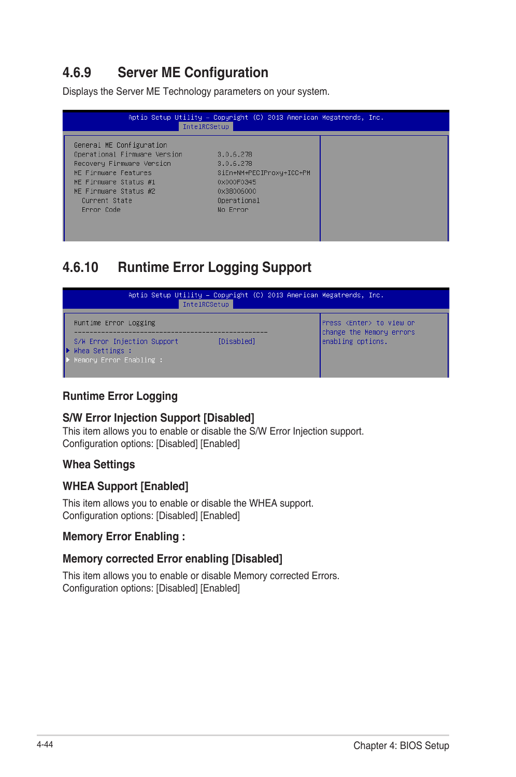# **4.6.9 Server ME Configuration**

Displays the Server ME Technology parameters on your system.

| Aptio Setup Utility – Copyright (C) 2013 American Megatrends, Inc.<br>IntelRCSetup                                                                                                             |                                                                                                           |  |  |  |  |  |
|------------------------------------------------------------------------------------------------------------------------------------------------------------------------------------------------|-----------------------------------------------------------------------------------------------------------|--|--|--|--|--|
| General ME Configuration<br>Operational Firmware Version<br>Recovery Firmware Version<br>ME Firmware Features<br>ME Firmware Status #1<br>MF Firmuare Status #2<br>Current State<br>Error Code | 3.0.6.278<br>3.0.6.278<br>SiEn+NM+PECIProxy+ICC+PM<br>0x000F0345<br>0x38006000<br>Operational<br>No Error |  |  |  |  |  |
|                                                                                                                                                                                                |                                                                                                           |  |  |  |  |  |

# **4.6.10 Runtime Error Logging Support**

| Aptio Setup Utility – Copyright (C) 2013 American Megatrends, Inc.<br>IntelRCSetup                                                     |  |                                                                                     |  |  |
|----------------------------------------------------------------------------------------------------------------------------------------|--|-------------------------------------------------------------------------------------|--|--|
| Runtime Error Logging<br>[Disabled]<br>S/W Error Injection Support<br>Whea Settings :<br>$\blacktriangleright$ Memory Error Enabling : |  | Press <enter> to view or<br/>change the Memory errors<br/>enabling options.</enter> |  |  |

### **Runtime Error Logging**

### **S/W Error Injection Support [Disabled]**

This item allows you to enable or disable the S/W Error Injection support. Configuration options: [Disabled] [Enabled]

### **Whea Settings**

### **WHEA Support [Enabled]**

This item allows you to enable or disable the WHEA support. Configuration options: [Disabled] [Enabled]

### **Memory Error Enabling :**

### **Memory corrected Error enabling [Disabled]**

This item allows you to enable or disable Memory corrected Errors. Configuration options: [Disabled] [Enabled]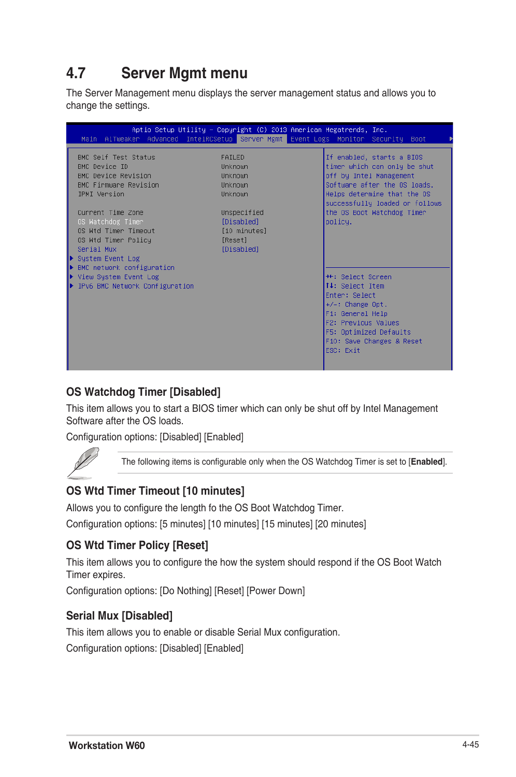# **4.7 Server Mgmt menu**

The Server Management menu displays the server management status and allows you to change the settings.

|                                                                                                                                                                                                                                                       | Aptio Setup Utility – Copyright (C) 2013 American Megatrends, Inc.                                                                                     |                                                                                                                                                                                                                                |
|-------------------------------------------------------------------------------------------------------------------------------------------------------------------------------------------------------------------------------------------------------|--------------------------------------------------------------------------------------------------------------------------------------------------------|--------------------------------------------------------------------------------------------------------------------------------------------------------------------------------------------------------------------------------|
|                                                                                                                                                                                                                                                       |                                                                                                                                                        | Main AiTweaker Advanced IntelRCSetup Server Mgmt Event Logs Monitor Security Boot                                                                                                                                              |
| BMC Self Test Status<br><b>BMC Device ID</b><br><b>BMC Device Revision</b><br><b>BMC Firmware Revision</b><br>TPMT Version<br>Current Time Zone<br>OS Watchdog Timer<br>OS Wtd Timer Timeout<br>OS Wtd Timer Policy<br>Serial Mux<br>System Event Log | FAILED<br>Unknown<br><b>Ilnknoun</b><br><b>Ilnknoun</b><br><b>Hnknown</b><br>Unspecified<br>[Disabled]<br>[10 minutes]<br>[Reset]<br><b>[Disabled]</b> | If enabled, starts a BIOS<br>timer which can only be shut<br>off by Intel Management<br>Software after the OS loads.<br>Helps determine that the OS<br>successfully loaded or follows<br>the OS Boot Watchdog Timer<br>policy. |
| $\blacktriangleright$ BMC network configuration<br>▶ View System Event Log<br>▶ IPv6 BMC Network Configuration                                                                                                                                        |                                                                                                                                                        | <b>++:</b> Select Screen<br>l‡↓: Select Item<br>Enter: Select<br>$+/-:$ Change Opt.<br>F1: General Help<br>F2: Previous Values<br>F5: Optimized Defaults<br>F10: Save Changes & Reset<br>FSC: Exit                             |

### **OS Watchdog Timer [Disabled]**

This item allows you to start a BIOS timer which can only be shut off by Intel Management Software after the OS loads.

Configuration options: [Disabled] [Enabled]



The following items is configurable only when the OS Watchdog Timer is set to [**Enabled**].

### **OS Wtd Timer Timeout [10 minutes]**

Allows you to configure the length fo the OS Boot Watchdog Timer.

Configuration options: [5 minutes] [10 minutes] [15 minutes] [20 minutes]

### **OS Wtd Timer Policy [Reset]**

This item allows you to configure the how the system should respond if the OS Boot Watch Timer expires.

Configuration options: [Do Nothing] [Reset] [Power Down]

### **Serial Mux [Disabled]**

This item allows you to enable or disable Serial Mux configuration.

Configuration options: [Disabled] [Enabled]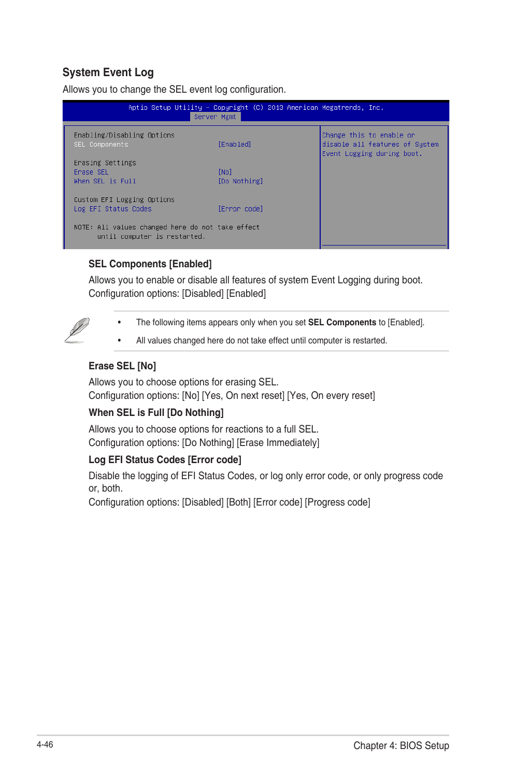## **System Event Log**

Allows you to change the SEL event log configuration.

|                                                                                  | Aptio Setup Utility – Copyright (C) 2013 American Megatrends, Inc.<br>Server Mgmt |                                                                                          |
|----------------------------------------------------------------------------------|-----------------------------------------------------------------------------------|------------------------------------------------------------------------------------------|
| Enabling/Disabling Options<br>SEL Components                                     | [Enabled]                                                                         | Change this to enable or<br>disable all features of System<br>Event Logging during boot. |
| Erasing Settings<br>Erase SEL<br>When SEL is Full                                | [No]<br>[Do Nothing]                                                              |                                                                                          |
| Custom EFI Logging Options<br>Log EFI Status Codes                               | [Ennon code]                                                                      |                                                                                          |
| NOTE: All values changed here do not take effect<br>until computer is restarted. |                                                                                   |                                                                                          |

### **SEL Components [Enabled]**

Allows you to enable or disable all features of system Event Logging during boot. Configuration options: [Disabled] [Enabled]

- The following items appears only when you set **SEL Components** to [Enabled].
- All values changed here do not take effect until computer is restarted.

### **Erase SEL [No]**

Allows you to choose options for erasing SEL. Configuration options: [No] [Yes, On next reset] [Yes, On every reset]

### **When SEL is Full [Do Nothing]**

Allows you to choose options for reactions to a full SEL. Configuration options: [Do Nothing] [Erase Immediately]

### **Log EFI Status Codes [Error code]**

Disable the logging of EFI Status Codes, or log only error code, or only progress code or, both.

Configuration options: [Disabled] [Both] [Error code] [Progress code]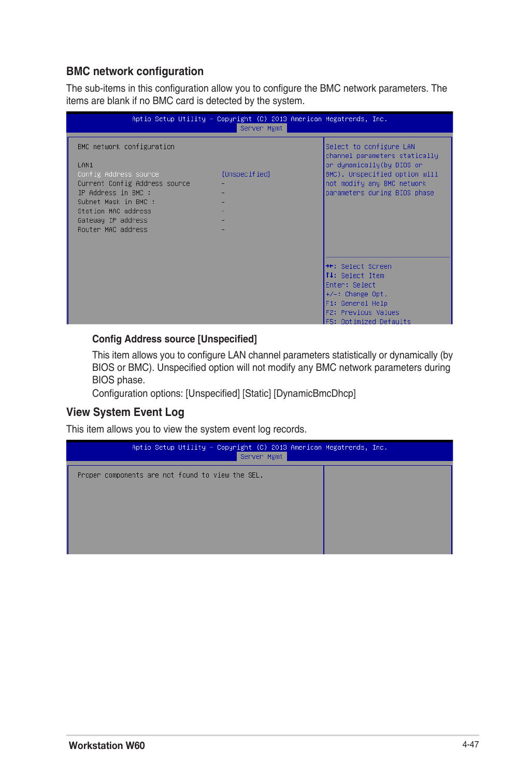### **BMC network configuration**

The sub-items in this configuration allow you to configure the BMC network parameters. The items are blank if no BMC card is detected by the system.

|                                                      | Aptio Setup Utility – Copyright $(C)$ 2013 American Megatrends, Inc.<br>Server Mgmt |                                                          |
|------------------------------------------------------|-------------------------------------------------------------------------------------|----------------------------------------------------------|
| BMC network configuration                            |                                                                                     | Select to configure LAN<br>channel parameters statically |
| I AN1                                                |                                                                                     | or dynamically(by BIOS or                                |
| Config Address source                                | [Unspecified]                                                                       | BMC). Unspecified option will                            |
| Current Config Address source<br>IP Address in BMC : |                                                                                     | not modify any BMC network                               |
| Subnet Mask in BMC :                                 |                                                                                     | parameters during BIOS phase                             |
| Station MAC address                                  |                                                                                     |                                                          |
| Gateway IP address                                   |                                                                                     |                                                          |
| Router MAC address                                   |                                                                                     |                                                          |
|                                                      |                                                                                     |                                                          |
|                                                      |                                                                                     |                                                          |
|                                                      |                                                                                     |                                                          |
|                                                      |                                                                                     | <b>++:</b> Select Screen                                 |
|                                                      |                                                                                     | ↑↓: Select Item                                          |
|                                                      |                                                                                     | Enter: Select                                            |
|                                                      |                                                                                     | $+\angle -$ : Change Opt.                                |
|                                                      |                                                                                     | F1: General Help                                         |
|                                                      |                                                                                     | F2: Previous Values                                      |
|                                                      |                                                                                     | F5: Optimized Defaults                                   |

### **Config Address source [Unspecified]**

This item allows you to configure LAN channel parameters statistically or dynamically (by BIOS or BMC). Unspecified option will not modify any BMC network parameters during BIOS phase.

Configuration options: [Unspecified] [Static] [DynamicBmcDhcp]

### **View System Event Log**

This item allows you to view the system event log records.

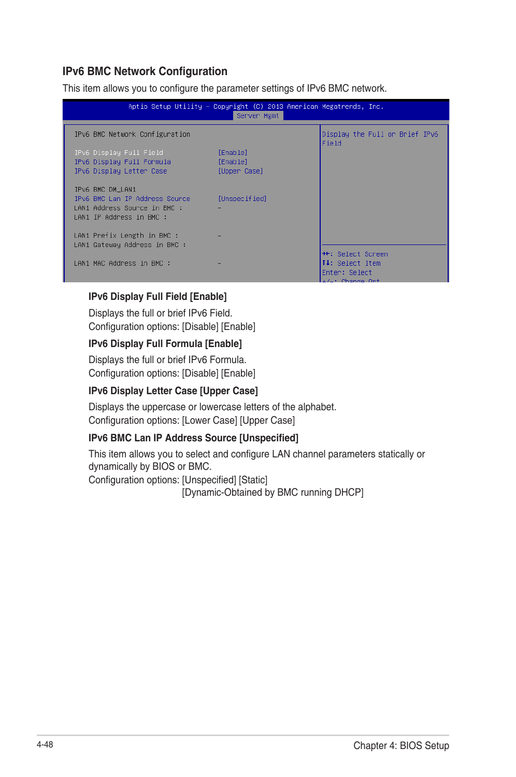### **IPv6 BMC Network Configuration**

This item allows you to configure the parameter settings of IPv6 BMC network.

|                                                                                            | Aptio Setup Utility – Copyright (C) 2013 American Megatrends, Inc.<br>Server Mgmt |                                         |
|--------------------------------------------------------------------------------------------|-----------------------------------------------------------------------------------|-----------------------------------------|
| IPv6 BMC Network Configuration                                                             |                                                                                   | Display the Full or Brief IPv6<br>Field |
| IPv6 Display Full Field                                                                    | [Enable]                                                                          |                                         |
| IPv6 Display Full Formula                                                                  | [Enable]                                                                          |                                         |
| IPv6 Display Letter Case                                                                   | [Upper Case]                                                                      |                                         |
| IPv6 BMC DM LAN1                                                                           |                                                                                   |                                         |
| IPV6 BMC Lan IP Address Source<br>LAN1 Address Source in BMC :<br>LAN1 IP Address in BMC : | [Unspecified]                                                                     |                                         |
| LAN1 Prefix Length in BMC :<br>LAN1 Gateway Address in BMC :                               |                                                                                   |                                         |
|                                                                                            |                                                                                   | <b>++:</b> Select Screen                |
| LAN1 MAC Address in BMC :                                                                  |                                                                                   | <b>↑↓</b> : Select Item                 |
|                                                                                            |                                                                                   | Fnter: Select                           |
|                                                                                            |                                                                                   | $\pm$ / $\pm$ Change Ont                |

### **IPv6 Display Full Field [Enable]**

Displays the full or brief IPv6 Field. Configuration options: [Disable] [Enable]

### **IPv6 Display Full Formula [Enable]**

Displays the full or brief IPv6 Formula. Configuration options: [Disable] [Enable]

### **IPv6 Display Letter Case [Upper Case]**

Displays the uppercase or lowercase letters of the alphabet. Configuration options: [Lower Case] [Upper Case]

### **IPv6 BMC Lan IP Address Source [Unspecified]**

This item allows you to select and configure LAN channel parameters statically or dynamically by BIOS or BMC.

Configuration options: [Unspecified] [Static]

[Dynamic-Obtained by BMC running DHCP]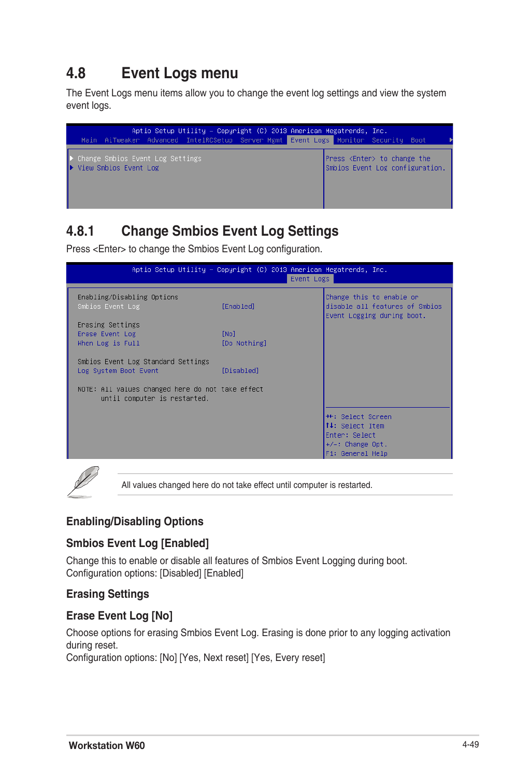# **4.8 Event Logs menu**

The Event Logs menu items allow you to change the event log settings and view the system event logs.

|   |                                                                                 | Aptio Setup Utility – Copyright (C) 2013 American Megatrends, Inc.<br>Main AiTweaker Advanced IntelRCSetup Server-Mgmt Event Logs Monitor Security Boot |  |  |                                                                         |  |
|---|---------------------------------------------------------------------------------|---------------------------------------------------------------------------------------------------------------------------------------------------------|--|--|-------------------------------------------------------------------------|--|
| ь | $\blacktriangleright$ Change Smbios Event Log Settings<br>View Smbios Event Log |                                                                                                                                                         |  |  | Press <enter> to change the<br/>Smbios Event Log configuration.</enter> |  |

# **4.8.1 Change Smbios Event Log Settings**

Press <Enter> to change the Smbios Event Log configuration.

|                                                                                  | Aptio Setup Utility – Copyright (C) 2013 American Megatrends, Inc.<br>Event Logs |                                                              |
|----------------------------------------------------------------------------------|----------------------------------------------------------------------------------|--------------------------------------------------------------|
| Enabling/Disabling Options                                                       |                                                                                  | Change this to enable or                                     |
| Smbios Event Log                                                                 | [Enabled]                                                                        | disable all features of Smbios<br>Event Logging during boot. |
| Erasing Settings                                                                 |                                                                                  |                                                              |
| Erase Event Log                                                                  | [No]                                                                             |                                                              |
| When Log is Full                                                                 | [Do Nothing]                                                                     |                                                              |
| Smbios Event Log Standard Settings                                               |                                                                                  |                                                              |
| Log System Boot Event                                                            | [Disabled]                                                                       |                                                              |
| NOTE: All values changed here do not take effect<br>until computer is restarted. |                                                                                  |                                                              |
|                                                                                  |                                                                                  | <b>++:</b> Select Screen                                     |
|                                                                                  |                                                                                  | ↑↓: Select Item                                              |
|                                                                                  |                                                                                  | Enter: Select                                                |
|                                                                                  |                                                                                  | $+\angle -$ : Change Opt.                                    |
|                                                                                  |                                                                                  | F1: General Help                                             |
|                                                                                  |                                                                                  |                                                              |



All values changed here do not take effect until computer is restarted.

### **Enabling/Disabling Options**

### **Smbios Event Log [Enabled]**

Change this to enable or disable all features of Smbios Event Logging during boot. Configuration options: [Disabled] [Enabled]

### **Erasing Settings**

### **Erase Event Log [No]**

Choose options for erasing Smbios Event Log. Erasing is done prior to any logging activation during reset.

Configuration options: [No] [Yes, Next reset] [Yes, Every reset]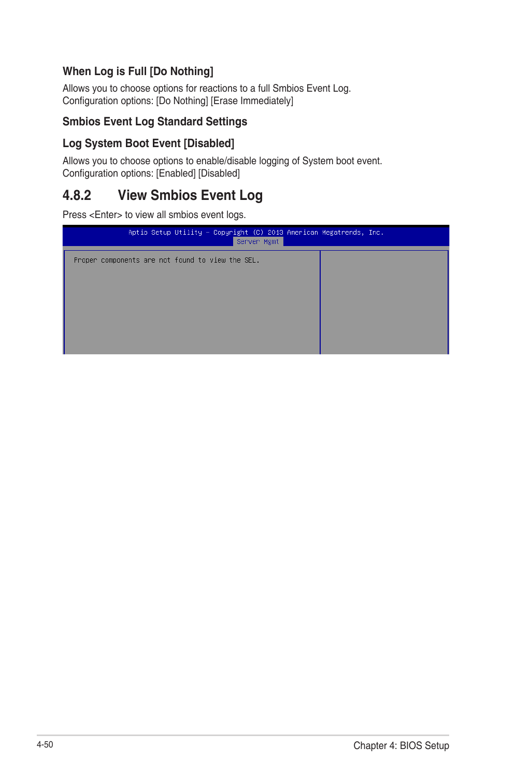### **When Log is Full [Do Nothing]**

Allows you to choose options for reactions to a full Smbios Event Log. Configuration options: [Do Nothing] [Erase Immediately]

### **Smbios Event Log Standard Settings**

### **Log System Boot Event [Disabled]**

Allows you to choose options to enable/disable logging of System boot event. Configuration options: [Enabled] [Disabled]

## **4.8.2 View Smbios Event Log**

Press <Enter> to view all smbios event logs.

| Aptio Setup Utility – Copyright $(C)$ 2013 American Megatrends, Inc.<br>Server Mgmt |  |  |  |
|-------------------------------------------------------------------------------------|--|--|--|
| Proper components are not found to view the SEL.                                    |  |  |  |
|                                                                                     |  |  |  |
|                                                                                     |  |  |  |
|                                                                                     |  |  |  |
|                                                                                     |  |  |  |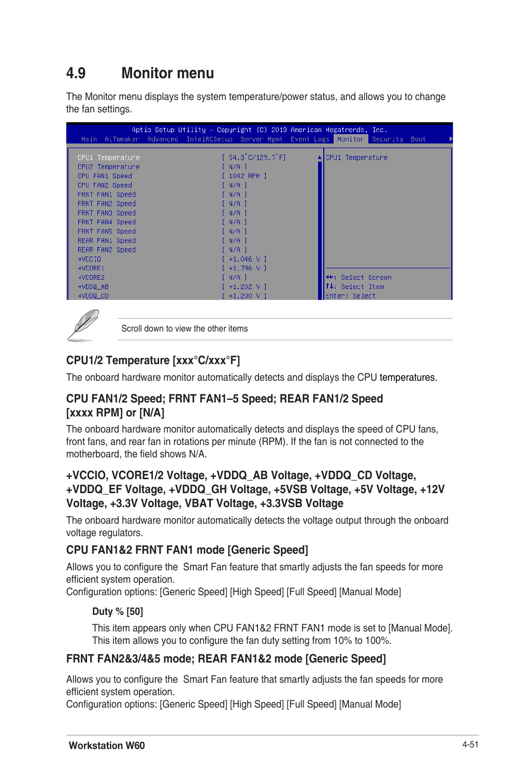# **4.9 Monitor menu**

The Monitor menu displays the system temperature/power status, and allows you to change the fan settings.

| Aptio Setup Utility – Copyright (C) 2013 American Megatrends, Inc. |                                                                                   |                    |  |
|--------------------------------------------------------------------|-----------------------------------------------------------------------------------|--------------------|--|
|                                                                    | Main AiTweaker Advanced IntelRCSetup Server-Mgmt Event-Logs Monitor Security Boot |                    |  |
| CPU1 Temperature                                                   | $[54.3^{\circ}$ C/129.7 $^{\circ}$ F1                                             | ▲ CPU1 Temperature |  |
|                                                                    |                                                                                   |                    |  |
| CPU2 Temperature                                                   | $N/A$ $\overline{1}$                                                              |                    |  |
| CPU FAN1 Speed                                                     | $[1042$ RPM $]$                                                                   |                    |  |
| CPU FAN2 Speed                                                     | $N/A$ ]                                                                           |                    |  |
| FRNT FAN1 Speed                                                    | $N/A$ ]                                                                           |                    |  |
| FRNT FAN2 Speed                                                    | $N/A$ ]                                                                           |                    |  |
| FRNT FAN3 Speed                                                    | $N/A$ ]                                                                           |                    |  |
| FRNT FAN4 Speed                                                    | f N/A 1                                                                           |                    |  |
| FRNT FAN5 Speed                                                    | f N/A 1                                                                           |                    |  |
| REAR FAN1 Speed                                                    | f N/A 1                                                                           |                    |  |
| REAR FAN2 Speed                                                    | f NZA 1                                                                           |                    |  |
| $+VCCIO$                                                           | $1 + 1.046$ V 1                                                                   |                    |  |
| $+VCORF1$                                                          | $1 + 1.796$ V 1                                                                   |                    |  |
| +VCORE2                                                            | [ N/A ]                                                                           | →←: Select Screen  |  |
| +VDDQ AB                                                           | $1 + 1.202$ V 1                                                                   | ↑↓: Select Item    |  |
| +VDDQ_CD                                                           | $1 + 1.200 V$                                                                     | Enter: Select      |  |



Scroll down to view the other items

### **CPU1/2 Temperature [xxx°C/xxx°F]**

The onboard hardware monitor automatically detects and displays the CPU temperatures.

### **CPU FAN1/2 Speed; FRNT FAN1–5 Speed; REAR FAN1/2 Speed [xxxx RPM] or [N/A]**

The onboard hardware monitor automatically detects and displays the speed of CPU fans, front fans, and rear fan in rotations per minute (RPM). If the fan is not connected to the motherboard, the field shows N/A.

### **+VCCIO, VCORE1/2 Voltage, +VDDQ\_AB Voltage, +VDDQ\_CD Voltage, +VDDQ\_EF Voltage, +VDDQ\_GH Voltage, +5VSB Voltage, +5V Voltage, +12V Voltage, +3.3V Voltage, VBAT Voltage, +3.3VSB Voltage**

The onboard hardware monitor automatically detects the voltage output through the onboard voltage regulators.

### **CPU FAN1&2 FRNT FAN1 mode [Generic Speed]**

Allows you to configure the Smart Fan feature that smartly adjusts the fan speeds for more efficient system operation.

Configuration options: [Generic Speed] [High Speed] [Full Speed] [Manual Mode]

### **Duty % [50]**

This item appears only when CPU FAN1&2 FRNT FAN1 mode is set to [Manual Mode]. This item allows you to configure the fan duty setting from 10% to 100%.

### **FRNT FAN2&3/4&5 mode; REAR FAN1&2 mode [Generic Speed]**

Allows you to configure the Smart Fan feature that smartly adjusts the fan speeds for more efficient system operation.

Configuration options: [Generic Speed] [High Speed] [Full Speed] [Manual Mode]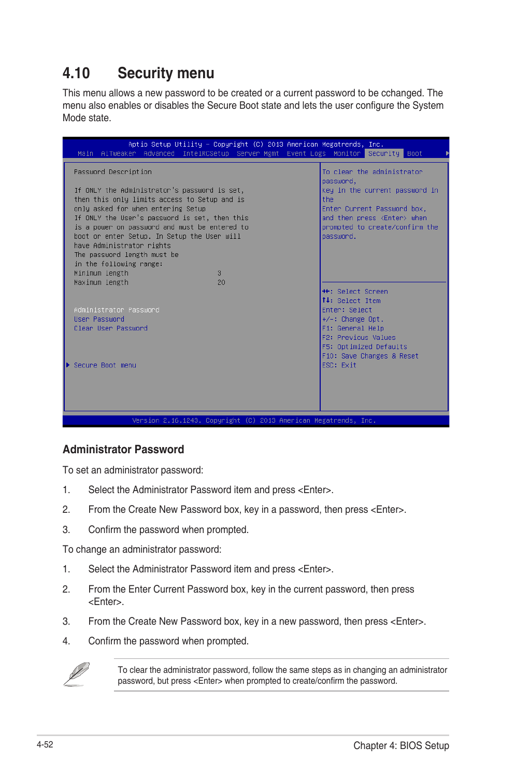# **4.10 Security menu**

This menu allows a new password to be created or a current password to be cchanged. The menu also enables or disables the Secure Boot state and lets the user configure the System Mode state.

| Main AiTweaker Advanced IntelRCSetup Server-Mgmt Event-Logs Monitor Security Boot                                                                                                                                                                                                                                                               | Aptio Setup Utility – Copyright (C) 2013 American Megatrends, Inc. |                                                                                                                                                               |
|-------------------------------------------------------------------------------------------------------------------------------------------------------------------------------------------------------------------------------------------------------------------------------------------------------------------------------------------------|--------------------------------------------------------------------|---------------------------------------------------------------------------------------------------------------------------------------------------------------|
| Password Description                                                                                                                                                                                                                                                                                                                            |                                                                    | To clear the administrator<br>password,                                                                                                                       |
| If ONLY the Administrator's password is set.<br>then this only limits access to Setup and is<br>only asked for when entering Setup<br>If ONLY the User's password is set, then this<br>is a power on password and must be entered to<br>boot or enter Setup. In Setup the User will<br>have Administrator rights<br>The password length must be |                                                                    | key in the current password in<br>the.<br>Enter Current Password box,<br>and then press <enter> when<br/>prompted to create/confirm the<br/>password.</enter> |
| in the following range:<br>Minimum length                                                                                                                                                                                                                                                                                                       | 3.                                                                 |                                                                                                                                                               |
| Maximum length                                                                                                                                                                                                                                                                                                                                  | 20                                                                 | <b>Ht:</b> Select Screen<br><b>14:</b> Select Item                                                                                                            |
| Administrator Password<br>User Password<br>Clear User Password                                                                                                                                                                                                                                                                                  |                                                                    | Enter: Select<br>$+/-:$ Change Opt.<br>F1: General Help<br>F2: Previous Values<br>F5: Optimized Defaults<br>F10: Save Changes & Reset                         |
| $\blacktriangleright$ Secure Boot menu                                                                                                                                                                                                                                                                                                          |                                                                    | ESC: Exit                                                                                                                                                     |
|                                                                                                                                                                                                                                                                                                                                                 | Version 2.16.1243. Copyright (C) 2013 American Megatrends, Inc.    |                                                                                                                                                               |

### **Administrator Password**

To set an administrator password:

- 1. Select the Administrator Password item and press <Enter>.
- 2. From the Create New Password box, key in a password, then press <Enter>.
- 3. Confirm the password when prompted.

To change an administrator password:

- 1. Select the Administrator Password item and press <Enter>.
- 2. From the Enter Current Password box, key in the current password, then press <Enter>.
- 3. From the Create New Password box, key in a new password, then press <Enter>.
- 4. Confirm the password when prompted.



To clear the administrator password, follow the same steps as in changing an administrator password, but press <Enter> when prompted to create/confirm the password.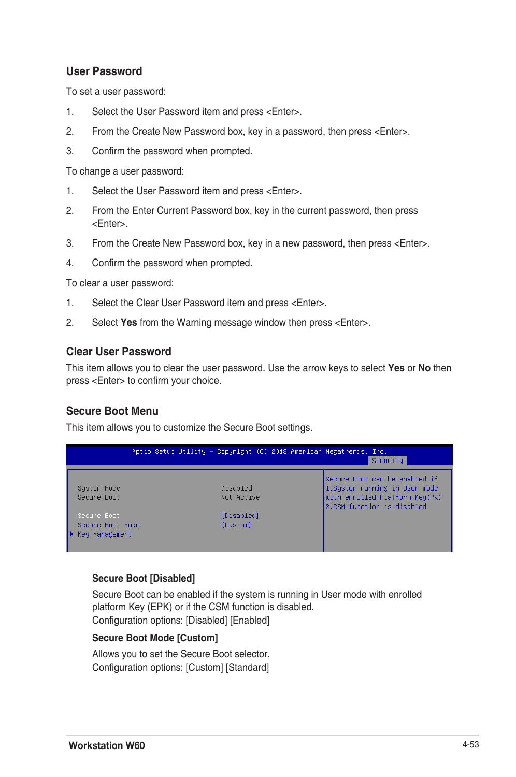### **User Password**

To set a user password:

- 1. Select the User Password item and press <Enter>.
- 2. From the Create New Password box, key in a password, then press <Enter>.
- 3. Confirm the password when prompted.

To change a user password:

- 1. Select the User Password item and press <Enter>.
- 2. From the Enter Current Password box, key in the current password, then press <Enter>.
- 3. From the Create New Password box, key in a new password, then press <Enter>.
- 4. Confirm the password when prompted.

To clear a user password:

- 1. Select the Clear User Password item and press <Enter>.
- 2. Select **Yes** from the Warning message window then press <Enter>.

### **Clear User Password**

This item allows you to clear the user password. Use the arrow keys to select **Yes** or **No** then press <Enter> to confirm your choice.

### **Secure Boot Menu**

This item allows you to customize the Secure Boot settings.

|                                                   | 'Aptio Setup Utility – Copyright (C) 2013 American Megatrends, Inc. | Security                                                                                                                        |
|---------------------------------------------------|---------------------------------------------------------------------|---------------------------------------------------------------------------------------------------------------------------------|
| System Mode<br>Secure Boot                        | Disabled<br>Not Active                                              | ∣Secure Boot can be enabled if<br>1.System running in User mode<br>with enrolled Platform Key(PK)<br>2.CSM function is disabled |
| Secure Boot<br>Secure Boot Mode<br>Key Management | [Disabled]<br><b>Customl</b>                                        |                                                                                                                                 |
|                                                   |                                                                     |                                                                                                                                 |

### **Secure Boot [Disabled]**

Secure Boot can be enabled if the system is running in User mode with enrolled platform Key (EPK) or if the CSM function is disabled. Configuration options: [Disabled] [Enabled]

### **Secure Boot Mode [Custom]**

Allows you to set the Secure Boot selector. Configuration options: [Custom] [Standard]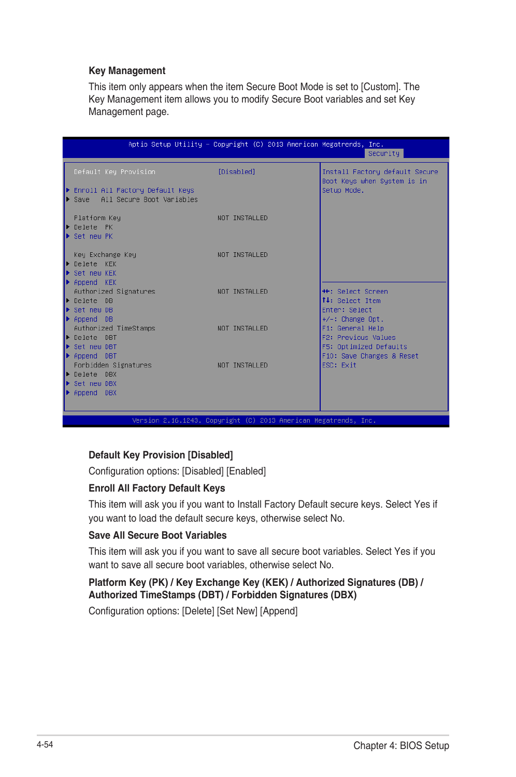### **Key Management**

This item only appears when the item Secure Boot Mode is set to [Custom]. The Key Management item allows you to modify Secure Boot variables and set Key Management page.

|                                                                                                           | Aptio Setup Utility – Copyright (C) 2013 American Megatrends, Inc. | Security                                                                                       |
|-----------------------------------------------------------------------------------------------------------|--------------------------------------------------------------------|------------------------------------------------------------------------------------------------|
| Default Key Provision<br>▶ Enroll All Factory Default Keys<br>▶ Save All Secure Boot Variables            | [Disabled]                                                         | Install Factory default Secure<br>Boot Keys when System is in<br>Setup Mode.                   |
| Platform Key<br>$\triangleright$ Delete PK<br>I Set new PK                                                | NOT INSTALLED                                                      |                                                                                                |
| Key Exchange Key<br>$\blacktriangleright$ Delete KEK<br>▶ Set new KEK<br>$\blacktriangleright$ Append KEK | NOT INSTALLED                                                      |                                                                                                |
| Authorized Signatures<br>Delete DB<br>F Set new DB<br>▶ Append DB                                         | NOT INSTALLED                                                      | <b>Ht: Select Screen</b><br>14: Select Item<br>Enter: Select<br>$+\angle -$ : Change Opt.      |
| Authorized TimeStamps<br>Delete DBT<br>Set new DBT<br><b>I</b> Append DBT                                 | NOT INSTALLED                                                      | F1: General Help<br>F2: Previous Values<br>F5: Optimized Defaults<br>F10: Save Changes & Reset |
| Forbidden Signatures<br>Delete DBX<br>Set new DBX<br><b>I</b> Append DBX                                  | NOT INSTALLED                                                      | ESC: Exit                                                                                      |
|                                                                                                           | Version 2.16.1243. Copyright (C) 2013 American Megatrends, Inc.    |                                                                                                |

### **Default Key Provision [Disabled]**

Configuration options: [Disabled] [Enabled]

### **Enroll All Factory Default Keys**

This item will ask you if you want to Install Factory Default secure keys. Select Yes if you want to load the default secure keys, otherwise select No.

### **Save All Secure Boot Variables**

This item will ask you if you want to save all secure boot variables. Select Yes if you want to save all secure boot variables, otherwise select No.

### **Platform Key (PK) / Key Exchange Key (KEK) / Authorized Signatures (DB) / Authorized TimeStamps (DBT) / Forbidden Signatures (DBX)**

Configuration options: [Delete] [Set New] [Append]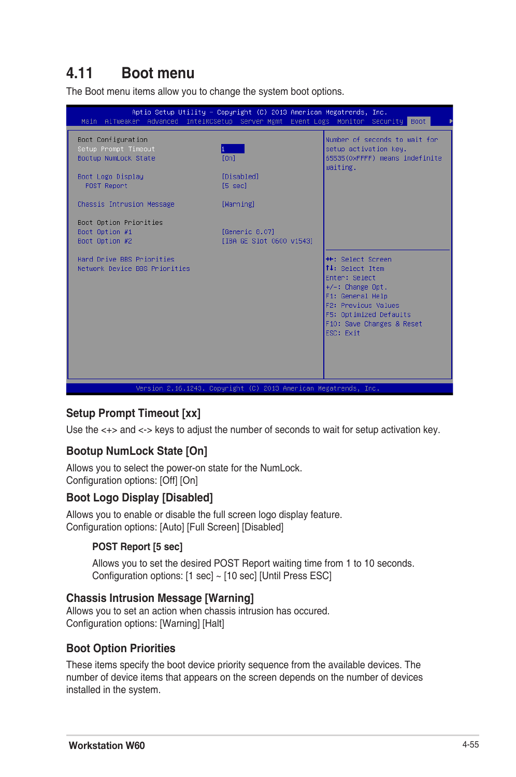# **4.11 Boot menu**

The Boot menu items allow you to change the system boot options.

| Main AiTweaker Advanced IntelRCSetup Server-Mgmt Event-Logs Monitor Security Boot | Aptio Setup Utility - Copyright (C) 2013 American Megatrends, Inc. |                                                                                                                                                                                                   |
|-----------------------------------------------------------------------------------|--------------------------------------------------------------------|---------------------------------------------------------------------------------------------------------------------------------------------------------------------------------------------------|
| Boot Configuration<br>Setup Prompt Timeout<br>Bootup NumLock State                | [0n]                                                               | Number of seconds to wait for<br>setup activation key.<br>65535(0xFFFF) means indefinite<br>waiting.                                                                                              |
| Boot Logo Display<br>POST Report                                                  | [Disabled]<br>[5 sec]                                              |                                                                                                                                                                                                   |
| Chassis Intrusion Message                                                         | [Warning]                                                          |                                                                                                                                                                                                   |
| Boot Option Priorities<br>Boot Option #1<br>Boot Option #2                        | [Generic 8.07]<br>[IBA GE Slot 0600 v1543]                         |                                                                                                                                                                                                   |
| Hard Drive BBS Priorities<br>Network Device BBS Priorities                        |                                                                    | <b>**: Select Screen</b><br>↑↓: Select Item<br>Enter: Select<br>$+/-:$ Change Opt.<br>F1: General Help<br>F2: Previous Values<br>F5: Optimized Defaults<br>F10: Save Changes & Reset<br>ESC: Exit |
|                                                                                   | Version 2.16.1243. Copyright (C) 2013 American Megatrends, Inc.    |                                                                                                                                                                                                   |

### **Setup Prompt Timeout [xx]**

Use the <+> and <-> keys to adjust the number of seconds to wait for setup activation key.

### **Bootup NumLock State [On]**

Allows you to select the power-on state for the NumLock. Configuration options: [Off] [On]

### **Boot Logo Display [Disabled]**

Allows you to enable or disable the full screen logo display feature. Configuration options: [Auto] [Full Screen] [Disabled]

### **POST Report [5 sec]**

Allows you to set the desired POST Report waiting time from 1 to 10 seconds. Configuration options: [1 sec] ~ [10 sec] [Until Press ESC]

### **Chassis Intrusion Message [Warning]**

Allows you to set an action when chassis intrusion has occured. Configuration options: [Warning] [Halt]

### **Boot Option Priorities**

These items specify the boot device priority sequence from the available devices. The number of device items that appears on the screen depends on the number of devices installed in the system.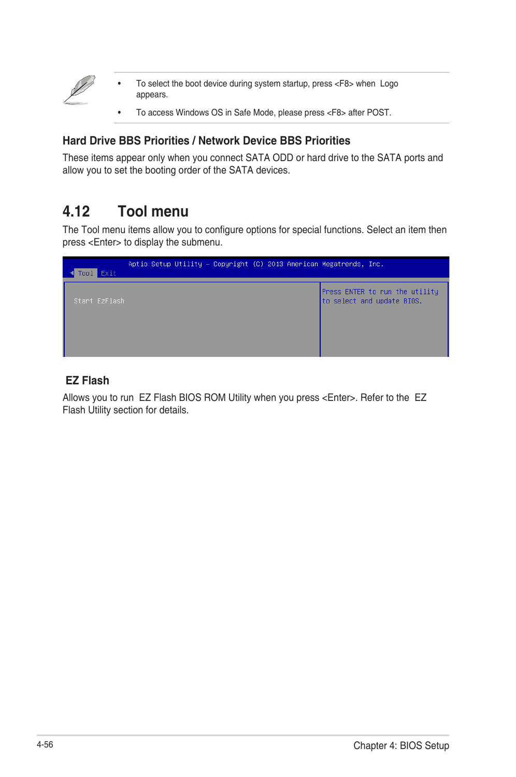

- To select the boot device during system startup, press <F8> when Logo appears.
- To access Windows OS in Safe Mode, please press <F8> after POST.

### **Hard Drive BBS Priorities / Network Device BBS Priorities**

These items appear only when you connect SATA ODD or hard drive to the SATA ports and allow you to set the booting order of the SATA devices.

# **4.12 Tool menu**

The Tool menu items allow you to configure options for special functions. Select an item then press <Enter> to display the submenu.

| Tool Exit     | Aptio Setup Utility – Copyright (C) 2013 American Megatrends, Inc. |                                                              |
|---------------|--------------------------------------------------------------------|--------------------------------------------------------------|
| Start EzFlash |                                                                    | Press ENTER to run the utility<br>to select and update BIOS. |

### **EZ Flash**

Allows you to run EZ Flash BIOS ROM Utility when you press <Enter>. Refer to the EZ Flash Utility section for details.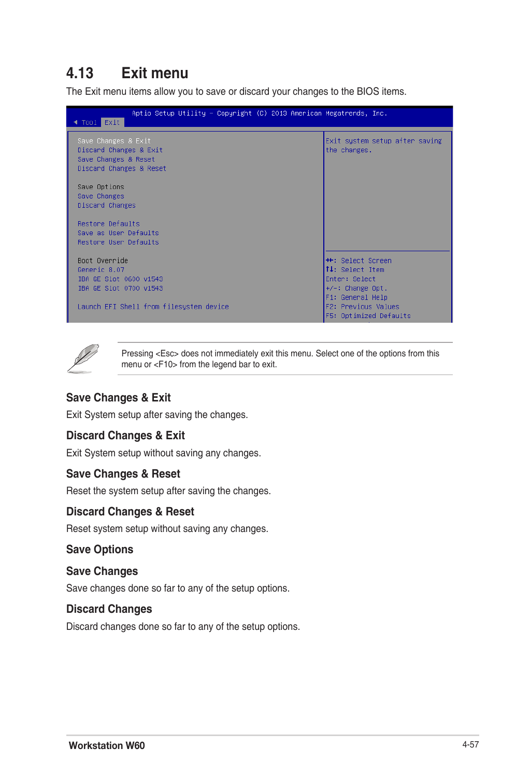# **4.13 Exit menu**

The Exit menu items allow you to save or discard your changes to the BIOS items.

| Aptio Setup Utility – Copyright (C) 2013 American Megatrends, Inc.<br>◀ Tool Exit                |                                                                   |
|--------------------------------------------------------------------------------------------------|-------------------------------------------------------------------|
| Save Changes & Exit<br>Discard Changes & Exit<br>Save Changes & Reset<br>Discard Changes & Reset | Exit system setup after saving<br>the changes.                    |
| Save Options<br>Save Changes<br>Discard Changes                                                  |                                                                   |
| <b>Restore Defaults</b><br>Save as User Defaults<br>Restore User Defaults                        |                                                                   |
| Boot Override<br>Generic 8.07                                                                    | <b>++:</b> Select Screen<br>↑↓: Select Item                       |
| IBA GE Slot 0600 v1543<br>IBA GE Slot 0700 v1543                                                 | Enter: Select<br>$+\angle -$ : Change Opt.                        |
| Launch EFI Shell from filesystem device                                                          | F1: General Help<br>F2: Previous Values<br>F5: Optimized Defaults |



Pressing <Esc> does not immediately exit this menu. Select one of the options from this menu or <F10> from the legend bar to exit.

### **Save Changes & Exit**

Exit System setup after saving the changes.

### **Discard Changes & Exit**

Exit System setup without saving any changes.

### **Save Changes & Reset**

Reset the system setup after saving the changes.

### **Discard Changes & Reset**

Reset system setup without saving any changes.

### **Save Options**

### **Save Changes**

Save changes done so far to any of the setup options.

### **Discard Changes**

Discard changes done so far to any of the setup options.